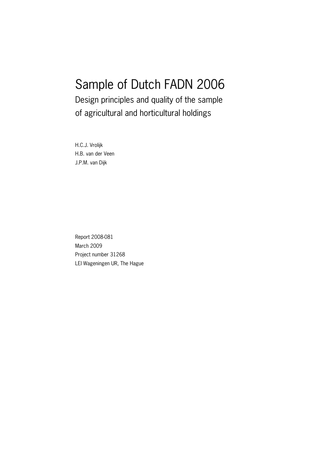# Sample of Dutch FADN 2006

Design principles and quality of the sample of agricultural and horticultural holdings

H.C.J. Vrolijk H.B. van der Veen J.P.M. van Dijk

Report 2008-081 March 2009 Project number 31268 LEI Wageningen UR, The Hague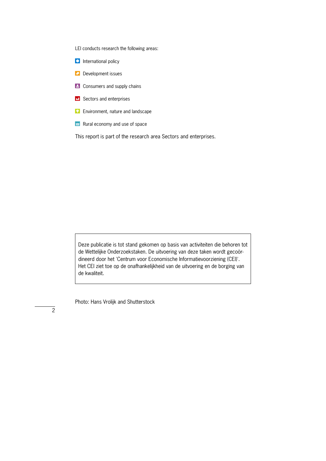LEI conducts research the following areas:

- **O** International policy
- **Development issues**
- **E** Consumers and supply chains
- **E** Sectors and enterprises
- **Environment, nature and landscape**
- $\approx$  Rural economy and use of space

This report is part of the research area Sectors and enterprises.

Deze publicatie is tot stand gekomen op basis van activiteiten die behoren tot de Wettelijke Onderzoekstaken. De uitvoering van deze taken wordt gecoördineerd door het 'Centrum voor Economische Informatievoorziening (CEI)'. Het CEI ziet toe op de onafhankelijkheid van de uitvoering en de borging van de kwaliteit.

Photo: Hans Vrolijk and Shutterstock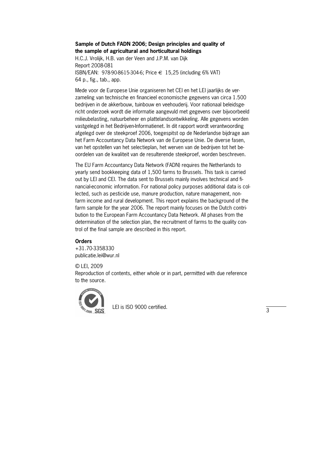#### **Sample of Dutch FADN 2006; Design principles and quality of the sample of agricultural and horticultural holdings**

H.C.J. Vrolijk, H.B. van der Veen and J.P.M. van Dijk Report 2008-081 ISBN/EAN: 978-90-8615-304-6; Price € 15,25 (including 6% VAT) 64 p., fig., tab., app.

Mede voor de Europese Unie organiseren het CEI en het LEI jaarlijks de verzameling van technische en financieel economische gegevens van circa 1.500 bedrijven in de akkerbouw, tuinbouw en veehouderij. Voor nationaal beleidsge\* richt onderzoek wordt die informatie aangevuld met gegevens over bijvoorbeeld milieubelasting, natuurbeheer en plattelandsontwikkeling. Alle gegevens worden vastgelegd in het Bedrijven-Informatienet. In dit rapport wordt verantwoording afgelegd over de steekproef 2006, toegespitst op de Nederlandse bijdrage aan het Farm Accountancy Data Network van de Europese Unie. De diverse fasen, van het opstellen van het selectieplan, het werven van de bedrijven tot het beoordelen van de kwaliteit van de resulterende steekproef, worden beschreven.

The EU Farm Accountancy Data Network (FADN) requires the Netherlands to yearly send bookkeeping data of 1,500 farms to Brussels. This task is carried out by LEI and CEI. The data sent to Brussels mainly involves technical and financial-economic information. For national policy purposes additional data is collected, such as pesticide use, manure production, nature management, non\* farm income and rural development. This report explains the background of the farm sample for the year 2006. The report mainly focuses on the Dutch contribution to the European Farm Accountancy Data Network. All phases from the determination of the selection plan, the recruitment of farms to the quality con\* trol of the final sample are described in this report.

#### **Orders**

+31.70-3358330 publicatie.lei@wur.nl

© LEI, 2009 Reproduction of contents, either whole or in part, permitted with due reference to the source.



LEI is ISO 9000 certified.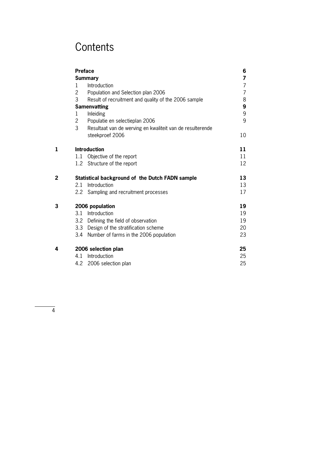# **Contents**

|   |               | <b>Preface</b>                                            | 6  |
|---|---------------|-----------------------------------------------------------|----|
|   |               | <b>Summary</b>                                            | 7  |
|   | 1             | Introduction                                              | 7  |
|   | 2             | Population and Selection plan 2006                        | 7  |
|   | 3             | Result of recruitment and quality of the 2006 sample      | 8  |
|   |               | <b>Samenvatting</b>                                       | 9  |
|   | 1             | Inleiding                                                 | 9  |
|   | 2             | Populatie en selectieplan 2006                            | 9  |
|   | 3             | Resultaat van de werving en kwaliteit van de resulterende |    |
|   |               | steekproef 2006                                           | 10 |
| 1 |               | <b>Introduction</b>                                       | 11 |
|   | 1.1           | Objective of the report                                   | 11 |
|   | 1.2           | Structure of the report                                   | 12 |
| 2 |               | Statistical background of the Dutch FADN sample           | 13 |
|   | 2.1           | Introduction                                              | 13 |
|   | $2.2^{\circ}$ | Sampling and recruitment processes                        | 17 |
| 3 |               | 2006 population                                           | 19 |
|   |               | 3.1 Introduction                                          | 19 |
|   | 3.2           | Defining the field of observation                         | 19 |
|   | 3.3           | Design of the stratification scheme                       | 20 |
|   | 3.4           | Number of farms in the 2006 population                    | 23 |
| 4 |               | 2006 selection plan                                       | 25 |
|   | 4.1           | Introduction                                              | 25 |
|   | 4.2           | 2006 selection plan                                       | 25 |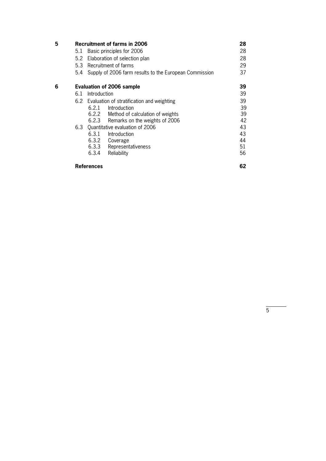| 5 |     | <b>Recruitment of farms in 2006</b>            |                                                        | 28 |  |  |  |
|---|-----|------------------------------------------------|--------------------------------------------------------|----|--|--|--|
|   | 5.1 | Basic principles for 2006                      |                                                        | 28 |  |  |  |
|   | 5.2 | Elaboration of selection plan                  |                                                        | 28 |  |  |  |
|   | 5.3 | Recruitment of farms                           |                                                        | 29 |  |  |  |
|   | 5.4 |                                                | Supply of 2006 farm results to the European Commission | 37 |  |  |  |
| 6 |     | <b>Evaluation of 2006 sample</b>               |                                                        | 39 |  |  |  |
|   | 6.1 | Introduction                                   |                                                        |    |  |  |  |
|   |     | 6.2 Evaluation of stratification and weighting |                                                        |    |  |  |  |
|   |     | Introduction<br>6.2.1                          |                                                        | 39 |  |  |  |
|   |     | 6.2.2 Method of calculation of weights         |                                                        | 39 |  |  |  |
|   |     | 6.2.3 Remarks on the weights of 2006           |                                                        | 42 |  |  |  |
|   | 6.3 | Ouantitative evaluation of 2006                |                                                        | 43 |  |  |  |
|   |     | 6.3.1<br>Introduction                          |                                                        | 43 |  |  |  |
|   |     | 6.3.2<br>Coverage                              |                                                        | 44 |  |  |  |
|   |     | 6.3.3<br>Representativeness                    |                                                        | 51 |  |  |  |
|   |     | 6.3.4<br>Reliability                           |                                                        | 56 |  |  |  |
|   |     | References                                     |                                                        | 62 |  |  |  |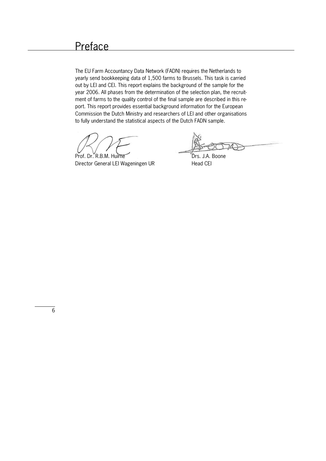The EU Farm Accountancy Data Network (FADN) requires the Netherlands to yearly send bookkeeping data of 1,500 farms to Brussels. This task is carried out by LEI and CEI. This report explains the background of the sample for the year 2006. All phases from the determination of the selection plan, the recruitment of farms to the quality control of the final sample are described in this report. This report provides essential background information for the European Commission the Dutch Ministry and researchers of LEI and other organisations to fully understand the statistical aspects of the Dutch FADN sample.

Prof. Dr. R.B.M. Huirne Drs. J.A. Boone Director General LEI Wageningen UR Head CEI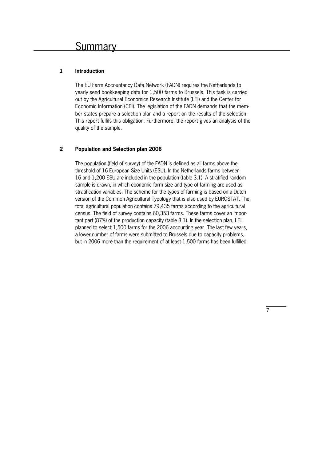# **1 Introduction**

The EU Farm Accountancy Data Network (FADN) requires the Netherlands to yearly send bookkeeping data for 1,500 farms to Brussels. This task is carried out by the Agricultural Economics Research Institute (LEI) and the Center for Economic Information (CEI). The legislation of the FADN demands that the member states prepare a selection plan and a report on the results of the selection. This report fulfils this obligation. Furthermore, the report gives an analysis of the quality of the sample.

# **2 Population and Selection plan 2006**

The population (field of survey) of the FADN is defined as all farms above the threshold of 16 European Size Units (ESU). In the Netherlands farms between 16 and 1,200 ESU are included in the population (table 3.1). A stratified random sample is drawn, in which economic farm size and type of farming are used as stratification variables. The scheme for the types of farming is based on a Dutch version of the Common Agricultural Typology that is also used by EUROSTAT. The total agricultural population contains 79,435 farms according to the agricultural census. The field of survey contains 60,353 farms. These farms cover an impor\* tant part (87%) of the production capacity (table 3.1). In the selection plan, LEI planned to select 1,500 farms for the 2006 accounting year. The last few years, a lower number of farms were submitted to Brussels due to capacity problems, but in 2006 more than the requirement of at least 1,500 farms has been fulfilled.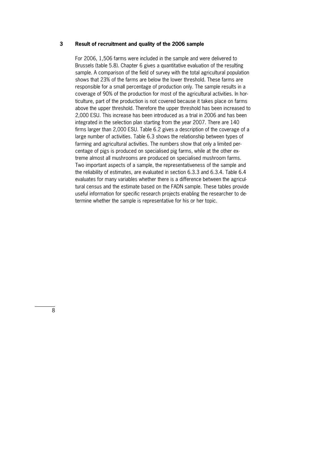#### **3 Result of recruitment and quality of the 2006 sample**

For 2006, 1,506 farms were included in the sample and were delivered to Brussels (table 5.8). Chapter 6 gives a quantitative evaluation of the resulting sample. A comparison of the field of survey with the total agricultural population shows that 23% of the farms are below the lower threshold. These farms are responsible for a small percentage of production only. The sample results in a coverage of 90% of the production for most of the agricultural activities. In hor\* ticulture, part of the production is not covered because it takes place on farms above the upper threshold. Therefore the upper threshold has been increased to 2,000 ESU. This increase has been introduced as a trial in 2006 and has been integrated in the selection plan starting from the year 2007. There are 140 firms larger than 2,000 ESU. Table 6.2 gives a description of the coverage of a large number of activities. Table 6.3 shows the relationship between types of farming and agricultural activities. The numbers show that only a limited percentage of pigs is produced on specialised pig farms, while at the other extreme almost all mushrooms are produced on specialised mushroom farms. Two important aspects of a sample, the representativeness of the sample and the reliability of estimates, are evaluated in section 6.3.3 and 6.3.4. Table 6.4 evaluates for many variables whether there is a difference between the agricultural census and the estimate based on the FADN sample. These tables provide useful information for specific research projects enabling the researcher to determine whether the sample is representative for his or her topic.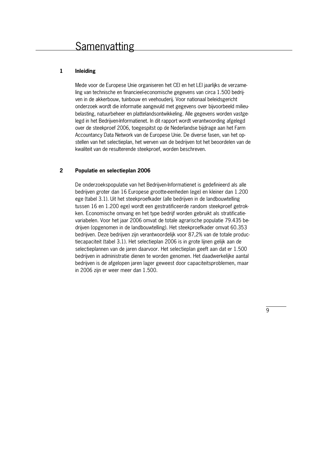# **1 Inleiding**

Mede voor de Europese Unie organiseren het CEI en het LEI jaarlijks de verzame\* ling van technische en financieel-economische gegevens van circa 1.500 bedrijven in de akkerbouw, tuinbouw en veehouderij. Voor nationaal beleidsgericht onderzoek wordt die informatie aangevuld met gegevens over bijvoorbeeld milieu\* belasting, natuurbeheer en plattelandsontwikkeling. Alle gegevens worden vastge\* legd in het Bedrijven-Informatienet. In dit rapport wordt verantwoording afgelegd over de steekproef 2006, toegespitst op de Nederlandse bijdrage aan het Farm Accountancy Data Network van de Europese Unie. De diverse fasen, van het op\* stellen van het selectieplan, het werven van de bedrijven tot het beoordelen van de kwaliteit van de resulterende steekproef, worden beschreven.

## **2 Populatie en selectieplan 2006**

De onderzoekspopulatie van het Bedrijven-Informatienet is gedefinieerd als alle bedrijven groter dan 16 Europese grootte-eenheden (ege) en kleiner dan 1.200 ege (tabel 3.1). Uit het steekproefkader (alle bedrijven in de landbouwtelling tussen 16 en 1.200 ege) wordt een gestratificeerde random steekproef getrokken. Economische omvang en het type bedrijf worden gebruikt als stratificatie\* variabelen. Voor het jaar 2006 omvat de totale agrarische populatie 79.435 bedrijven (opgenomen in de landbouwtelling). Het steekproefkader omvat 60.353 bedrijven. Deze bedrijven zijn verantwoordelijk voor 87,2% van de totale productiecapaciteit (tabel 3.1). Het selectieplan 2006 is in grote lijnen gelijk aan de selectieplannen van de jaren daarvoor. Het selectieplan geeft aan dat er 1.500 bedrijven in administratie dienen te worden genomen. Het daadwerkelijke aantal bedrijven is de afgelopen jaren lager geweest door capaciteitsproblemen, maar in 2006 zijn er weer meer dan 1.500.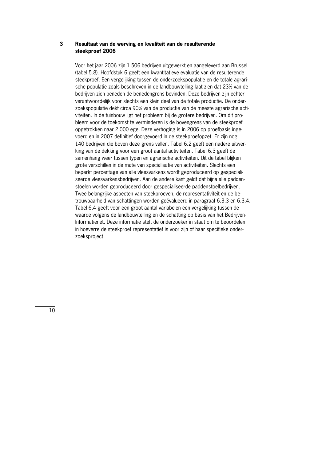#### **3 Resultaat van de werving en kwaliteit van de resulterende steekproef 2006**

Voor het jaar 2006 zijn 1.506 bedrijven uitgewerkt en aangeleverd aan Brussel (tabel 5.8). Hoofdstuk 6 geeft een kwantitatieve evaluatie van de resulterende steekproef. Een vergelijking tussen de onderzoekspopulatie en de totale agrarische populatie zoals beschreven in de landbouwtelling laat zien dat 23% van de bedrijven zich beneden de benedengrens bevinden. Deze bedrijven zijn echter verantwoordelijk voor slechts een klein deel van de totale productie. De onder\* zoekspopulatie dekt circa 90% van de productie van de meeste agrarische activiteiten. In de tuinbouw ligt het probleem bij de grotere bedrijven. Om dit probleem voor de toekomst te verminderen is de bovengrens van de steekproef opgetrokken naar 2.000 ege. Deze verhoging is in 2006 op proefbasis inge\* voerd en in 2007 definitief doorgevoerd in de steekproefopzet. Er zijn nog 140 bedrijven die boven deze grens vallen. Tabel 6.2 geeft een nadere uitwerking van de dekking voor een groot aantal activiteiten. Tabel 6.3 geeft de samenhang weer tussen typen en agrarische activiteiten. Uit de tabel blijken grote verschillen in de mate van specialisatie van activiteiten. Slechts een beperkt percentage van alle vleesvarkens wordt geproduceerd op gespecialiseerde vleesvarkensbedrijven. Aan de andere kant geldt dat bijna alle paddenstoelen worden geproduceerd door gespecialiseerde paddenstoelbedrijven. Twee belangrijke aspecten van steekproeven, de representativiteit en de betrouwbaarheid van schattingen worden geëvalueerd in paragraaf 6.3.3 en 6.3.4. Tabel 6.4 geeft voor een groot aantal variabelen een vergelijking tussen de waarde volgens de landbouwtelling en de schatting op basis van het Bedrijven\* Informatienet. Deze informatie stelt de onderzoeker in staat om te beoordelen in hoeverre de steekproef representatief is voor zijn of haar specifieke onderzoeksproject.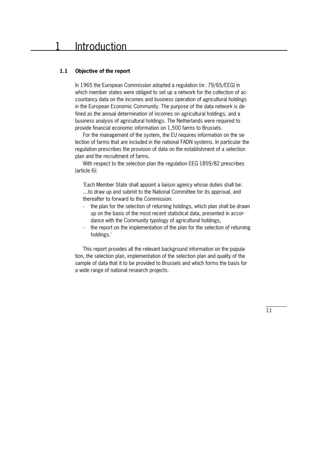#### **1.1 Objective of the report**

In 1965 the European Commission adopted a regulation (nr. 79/65/EEG) in which member states were obliged to set up a network for the collection of accountancy data on the incomes and business operation of agricultural holdings in the European Economic Community. The purpose of the data network is defined as the annual determination of incomes on agricultural holdings, and a business analysis of agricultural holdings. The Netherlands were required to provide financial economic information on 1,500 farms to Brussels.

For the management of the system, the EU requires information on the selection of farms that are included in the national FADN systems. In particular the regulation prescribes the provision of data on the establishment of a selection plan and the recruitment of farms.

 With respect to the selection plan the regulation EEG 1859/82 prescribes (article 6):

'Each Member State shall appoint a liaison agency whose duties shall be: …to draw up and submit to the National Committee for its approval, and thereafter to forward to the Commission:

- the plan for the selection of returning holdings, which plan shall be drawn up on the basis of the most recent statistical data, presented in accordance with the Community typology of agricultural holdings,
- the report on the implementation of the plan for the selection of returning holdings.'

 This report provides all the relevant background information on the popula\* tion, the selection plan, implementation of the selection plan and quality of the sample of data that it to be provided to Brussels and which forms the basis for a wide range of national research projects.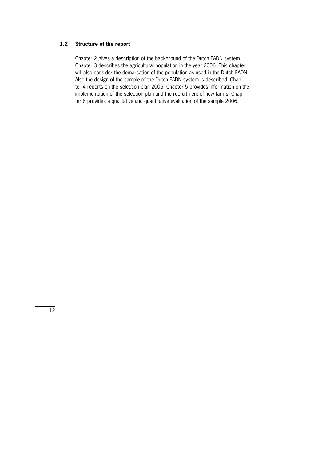# **1.2 Structure of the report**

Chapter 2 gives a description of the background of the Dutch FADN system. Chapter 3 describes the agricultural population in the year 2006. This chapter will also consider the demarcation of the population as used in the Dutch FADN. Also the design of the sample of the Dutch FADN system is described. Chap\* ter 4 reports on the selection plan 2006. Chapter 5 provides information on the implementation of the selection plan and the recruitment of new farms. Chapter 6 provides a qualitative and quantitative evaluation of the sample 2006.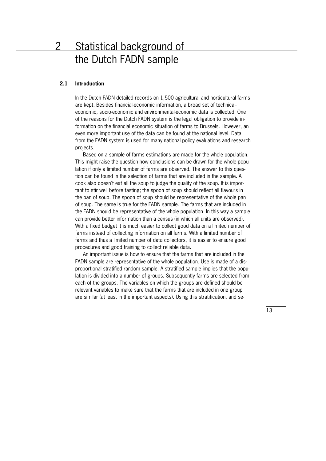# 2 Statistical background of the Dutch FADN sample

#### **2.1 Introduction**

In the Dutch FADN detailed records on 1,500 agricultural and horticultural farms are kept. Besides financial-economic information, a broad set of technicaleconomic, socio\*economic and environmental\*economic data is collected. One of the reasons for the Dutch FADN system is the legal obligation to provide in\* formation on the financial economic situation of farms to Brussels. However, an even more important use of the data can be found at the national level. Data from the FADN system is used for many national policy evaluations and research projects.

Based on a sample of farms estimations are made for the whole population. This might raise the question how conclusions can be drawn for the whole popu\* lation if only a limited number of farms are observed. The answer to this question can be found in the selection of farms that are included in the sample. A cook also doesn't eat all the soup to judge the quality of the soup. It is important to stir well before tasting; the spoon of soup should reflect all flavours in the pan of soup. The spoon of soup should be representative of the whole pan of soup. The same is true for the FADN sample. The farms that are included in the FADN should be representative of the whole population. In this way a sample can provide better information than a census (in which all units are observed). With a fixed budget it is much easier to collect good data on a limited number of farms instead of collecting information on all farms. With a limited number of farms and thus a limited number of data collectors, it is easier to ensure good procedures and good training to collect reliable data.

An important issue is how to ensure that the farms that are included in the FADN sample are representative of the whole population. Use is made of a disproportional stratified random sample. A stratified sample implies that the popu\* lation is divided into a number of groups. Subsequently farms are selected from each of the groups. The variables on which the groups are defined should be relevant variables to make sure that the farms that are included in one group are similar (at least in the important aspects). Using this stratification, and se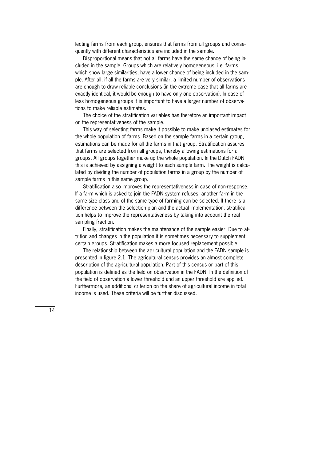lecting farms from each group, ensures that farms from all groups and consequently with different characteristics are included in the sample.

Disproportional means that not all farms have the same chance of being included in the sample. Groups which are relatively homogeneous, i.e. farms which show large similarities, have a lower chance of being included in the sample. After all, if all the farms are very similar, a limited number of observations are enough to draw reliable conclusions (in the extreme case that all farms are exactly identical, it would be enough to have only one observation). In case of less homogeneous groups it is important to have a larger number of observations to make reliable estimates.

 The choice of the stratification variables has therefore an important impact on the representativeness of the sample.

 This way of selecting farms make it possible to make unbiased estimates for the whole population of farms. Based on the sample farms in a certain group, estimations can be made for all the farms in that group. Stratification assures that farms are selected from all groups, thereby allowing estimations for all groups. All groups together make up the whole population. In the Dutch FADN this is achieved by assigning a weight to each sample farm. The weight is calculated by dividing the number of population farms in a group by the number of sample farms in this same group.

Stratification also improves the representativeness in case of non-response. If a farm which is asked to join the FADN system refuses, another farm in the same size class and of the same type of farming can be selected. If there is a difference between the selection plan and the actual implementation, stratification helps to improve the representativeness by taking into account the real sampling fraction.

Finally, stratification makes the maintenance of the sample easier. Due to attrition and changes in the population it is sometimes necessary to supplement certain groups. Stratification makes a more focused replacement possible.

 The relationship between the agricultural population and the FADN sample is presented in figure 2.1. The agricultural census provides an almost complete description of the agricultural population. Part of this census or part of this population is defined as the field on observation in the FADN. In the definition of the field of observation a lower threshold and an upper threshold are applied. Furthermore, an additional criterion on the share of agricultural income in total income is used. These criteria will be further discussed.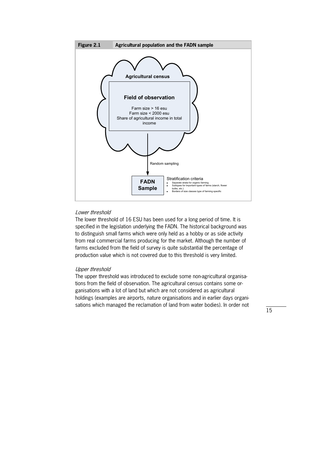

# Lower threshold

The lower threshold of 16 ESU has been used for a long period of time. It is specified in the legislation underlying the FADN. The historical background was to distinguish small farms which were only held as a hobby or as side activity from real commercial farms producing for the market. Although the number of farms excluded from the field of survey is quite substantial the percentage of production value which is not covered due to this threshold is very limited.

#### Upper threshold

The upper threshold was introduced to exclude some non-agricultural organisations from the field of observation. The agricultural census contains some organisations with a lot of land but which are not considered as agricultural holdings (examples are airports, nature organisations and in earlier days organisations which managed the reclamation of land from water bodies). In order not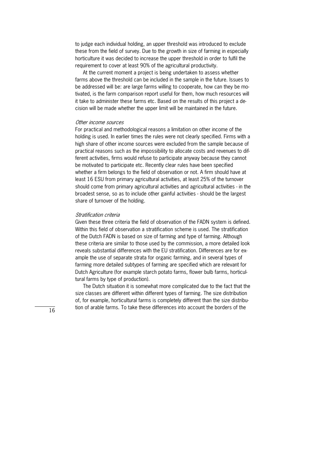to judge each individual holding, an upper threshold was introduced to exclude these from the field of survey. Due to the growth in size of farming in especially horticulture it was decided to increase the upper threshold in order to fulfil the requirement to cover at least 90% of the agricultural productivity.

 At the current moment a project is being undertaken to assess whether farms above the threshold can be included in the sample in the future. Issues to be addressed will be: are large farms willing to cooperate, how can they be motivated, is the farm comparison report useful for them, how much resources will it take to administer these farms etc. Based on the results of this project a decision will be made whether the upper limit will be maintained in the future.

#### Other income sources

For practical and methodological reasons a limitation on other income of the holding is used. In earlier times the rules were not clearly specified. Firms with a high share of other income sources were excluded from the sample because of practical reasons such as the impossibility to allocate costs and revenues to different activities, firms would refuse to participate anyway because they cannot be motivated to participate etc. Recently clear rules have been specified whether a firm belongs to the field of observation or not. A firm should have at least 16 ESU from primary agricultural activities, at least 25% of the turnover should come from primary agricultural activities and agricultural activities - in the broadest sense, so as to include other gainful activities - should be the largest share of turnover of the holding.

#### Stratification criteria

Given these three criteria the field of observation of the FADN system is defined. Within this field of observation a stratification scheme is used. The stratification of the Dutch FADN is based on size of farming and type of farming. Although these criteria are similar to those used by the commission, a more detailed look reveals substantial differences with the EU stratification. Differences are for example the use of separate strata for organic farming, and in several types of farming more detailed subtypes of farming are specified which are relevant for Dutch Agriculture (for example starch potato farms, flower bulb farms, horticul\* tural farms by type of production).

 The Dutch situation it is somewhat more complicated due to the fact that the size classes are different within different types of farming. The size distribution of, for example, horticultural farms is completely different than the size distribu\* tion of arable farms. To take these differences into account the borders of the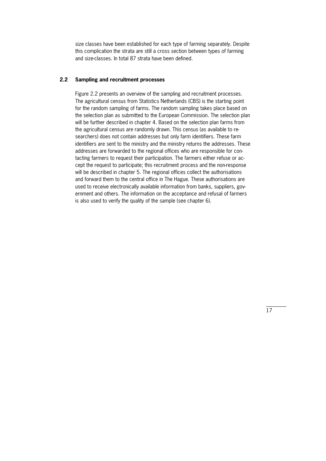size classes have been established for each type of farming separately. Despite this complication the strata are still a cross section between types of farming and size-classes. In total 87 strata have been defined.

# **2.2 Sampling and recruitment processes**

Figure 2.2 presents an overview of the sampling and recruitment processes. The agricultural census from Statistics Netherlands (CBS) is the starting point for the random sampling of farms. The random sampling takes place based on the selection plan as submitted to the European Commission. The selection plan will be further described in chapter 4. Based on the selection plan farms from the agricultural census are randomly drawn. This census (as available to researchers) does not contain addresses but only farm identifiers. These farm identifiers are sent to the ministry and the ministry returns the addresses. These addresses are forwarded to the regional offices who are responsible for con\* tacting farmers to request their participation. The farmers either refuse or accept the request to participate; this recruitment process and the non-response will be described in chapter 5. The regional offices collect the authorisations and forward them to the central office in The Hague. These authorisations are used to receive electronically available information from banks, suppliers, government and others. The information on the acceptance and refusal of farmers is also used to verify the quality of the sample (see chapter 6).

 $\overline{17}$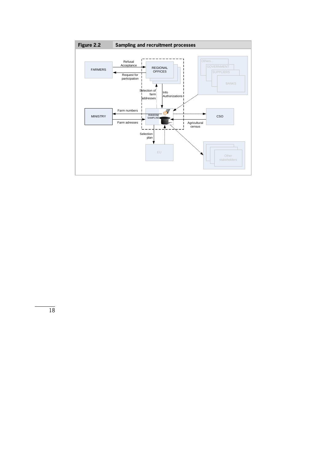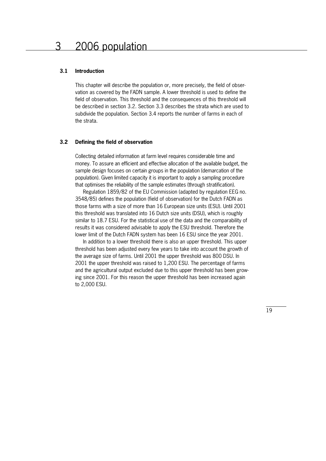#### **3.1 Introduction**

This chapter will describe the population or, more precisely, the field of obser\* vation as covered by the FADN sample. A lower threshold is used to define the field of observation. This threshold and the consequences of this threshold will be described in section 3.2. Section 3.3 describes the strata which are used to subdivide the population. Section 3.4 reports the number of farms in each of the strata.

#### **3.2 Defining the field of observation**

Collecting detailed information at farm level requires considerable time and money. To assure an efficient and effective allocation of the available budget, the sample design focuses on certain groups in the population (demarcation of the population). Given limited capacity it is important to apply a sampling procedure that optimises the reliability of the sample estimates (through stratification).

 Regulation 1859/82 of the EU Commission (adapted by regulation EEG no. 3548/85) defines the population (field of observation) for the Dutch FADN as those farms with a size of more than 16 European size units (ESU). Until 2001 this threshold was translated into 16 Dutch size units (DSU), which is roughly similar to 18.7 ESU. For the statistical use of the data and the comparability of results it was considered advisable to apply the ESU threshold. Therefore the lower limit of the Dutch FADN system has been 16 ESU since the year 2001.

 In addition to a lower threshold there is also an upper threshold. This upper threshold has been adjusted every few years to take into account the growth of the average size of farms. Until 2001 the upper threshold was 800 DSU. In 2001 the upper threshold was raised to 1,200 ESU. The percentage of farms and the agricultural output excluded due to this upper threshold has been growing since 2001. For this reason the upper threshold has been increased again to 2,000 ESU.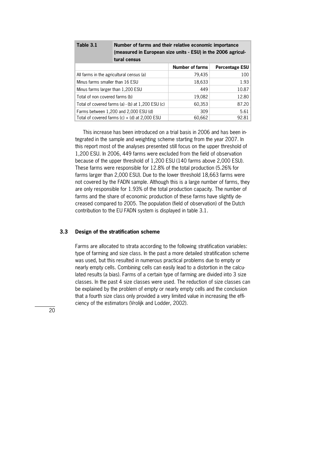| Table 3.1                         | Number of farms and their relative economic importance<br>(measured in European size units - ESU) in the 2006 agricul-<br>tural census |                        |                |  |  |  |
|-----------------------------------|----------------------------------------------------------------------------------------------------------------------------------------|------------------------|----------------|--|--|--|
|                                   |                                                                                                                                        | <b>Number of farms</b> | Percentage ESU |  |  |  |
|                                   | All farms in the agricultural census (a)                                                                                               | 79,435                 | 100            |  |  |  |
| Minus farms smaller than 16 ESU   |                                                                                                                                        | 18,633                 | 1.93           |  |  |  |
| Minus farms larger than 1,200 ESU |                                                                                                                                        | 449                    | 10.87          |  |  |  |
| Total of non covered farms (b)    |                                                                                                                                        | 19,082                 | 12.80          |  |  |  |
|                                   | Total of covered farms (a) $-$ (b) at 1,200 ESU (c)                                                                                    | 60,353                 | 87.20          |  |  |  |
|                                   | Farms between 1,200 and 2,000 ESU (d)                                                                                                  | 309                    | 5.61           |  |  |  |
|                                   | Total of covered farms $(c) + (d)$ at 2,000 ESU                                                                                        | 60,662                 | 92.81          |  |  |  |

This increase has been introduced on a trial basis in 2006 and has been integrated in the sample and weighting scheme starting from the year 2007. In this report most of the analyses presented still focus on the upper threshold of 1,200 ESU. In 2006, 449 farms were excluded from the field of observation because of the upper threshold of 1,200 ESU (140 farms above 2,000 ESU). These farms were responsible for 12.8% of the total production (5.26% for farms larger than 2,000 ESU). Due to the lower threshold 18,663 farms were not covered by the FADN sample. Although this is a large number of farms, they are only responsible for 1.93% of the total production capacity. The number of farms and the share of economic production of these farms have slightly decreased compared to 2005. The population (field of observation) of the Dutch contribution to the EU FADN system is displayed in table 3.1.

#### **3.3 Design of the stratification scheme**

Farms are allocated to strata according to the following stratification variables: type of farming and size class. In the past a more detailed stratification scheme was used, but this resulted in numerous practical problems due to empty or nearly empty cells. Combining cells can easily lead to a distortion in the calcu\* lated results (a bias). Farms of a certain type of farming are divided into 3 size classes. In the past 4 size classes were used. The reduction of size classes can be explained by the problem of empty or nearly empty cells and the conclusion that a fourth size class only provided a very limited value in increasing the efficiency of the estimators (Vrolijk and Lodder, 2002).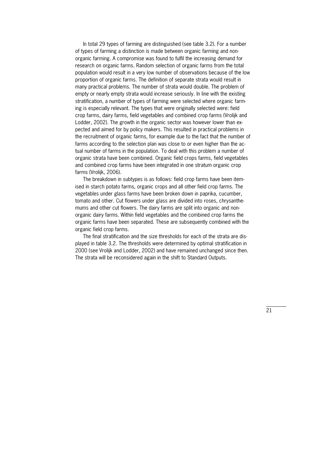In total 29 types of farming are distinguished (see table 3.2). For a number of types of farming a distinction is made between organic farming and non\* organic farming. A compromise was found to fulfil the increasing demand for research on organic farms. Random selection of organic farms from the total population would result in a very low number of observations because of the low proportion of organic farms. The definition of separate strata would result in many practical problems. The number of strata would double. The problem of empty or nearly empty strata would increase seriously. In line with the existing stratification, a number of types of farming were selected where organic farm\* ing is especially relevant. The types that were originally selected were: field crop farms, dairy farms, field vegetables and combined crop farms (Vrolijk and Lodder, 2002). The growth in the organic sector was however lower than expected and aimed for by policy makers. This resulted in practical problems in the recruitment of organic farms, for example due to the fact that the number of farms according to the selection plan was close to or even higher than the actual number of farms in the population. To deal with this problem a number of organic strata have been combined. Organic field crops farms, field vegetables and combined crop farms have been integrated in one stratum organic crop farms (Vrolijk, 2006).

 The breakdown in subtypes is as follows: field crop farms have been item\* ised in starch potato farms, organic crops and all other field crop farms. The vegetables under glass farms have been broken down in paprika, cucumber, tomato and other. Cut flowers under glass are divided into roses, chrysanthe\* mums and other cut flowers. The dairy farms are split into organic and nonorganic dairy farms. Within field vegetables and the combined crop farms the organic farms have been separated. These are subsequently combined with the organic field crop farms.

The final stratification and the size thresholds for each of the strata are displayed in table 3.2. The thresholds were determined by optimal stratification in 2000 (see Vrolijk and Lodder, 2002) and have remained unchanged since then. The strata will be reconsidered again in the shift to Standard Outputs.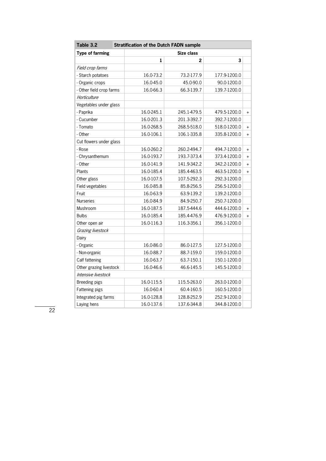| <b>Type of farming</b><br>Size class<br>1<br>2<br>3<br>Field crop farms |           |
|-------------------------------------------------------------------------|-----------|
|                                                                         |           |
|                                                                         |           |
|                                                                         |           |
| 16.0-73.2<br>- Starch potatoes<br>73.2-177.9<br>177.9-1200.0            |           |
| 16.0-45.0<br>45.0-90.0<br>90.0-1200.0<br>- Organic crops                |           |
| 16.0-66.3<br>66.3-139.7<br>- Other field crop farms<br>139.7-1200.0     |           |
| Horticulture                                                            |           |
| Vegetables under glass                                                  |           |
| - Paprika<br>16.0-245.1<br>245.1-479.5<br>479.5-1200.0                  | $\ddot{}$ |
| - Cucumber<br>16.0-201.3<br>201.3-392.7<br>392.7-1200.0                 |           |
| - Tomato<br>16.0-268.5<br>268.5-518.0<br>518.0-1200.0                   | $\ddot{}$ |
| 16.0-106.1<br>106.1-335.8<br>335.8-1200.0<br>- Other                    | $\ddot{}$ |
| Cut flowers under glass                                                 |           |
| - Rose<br>16.0-260.2<br>260.2-494.7<br>494.7-1200.0                     | $\ddot{}$ |
| - Chrysanthemum<br>16.0-193.7<br>193.7-373.4<br>373.4-1200.0            | $\ddot{}$ |
| - Other<br>16.0-141.9<br>141.9-342.2<br>342.2-1200.0                    | $\ddot{}$ |
| 16.0-185.4<br>185.4-463.5<br>463.5-1200.0<br>Plants                     | $\ddot{}$ |
| 16.0-107.5<br>107.5-292.3<br>292.3-1200.0<br>Other glass                |           |
| 16.0-85.8<br>85.8-256.5<br>256.5-1200.0<br>Field vegetables             |           |
| 16.0-63.9<br>Fruit<br>63.9-139.2<br>139.2-1200.0                        |           |
| <b>Nurseries</b><br>16.0-84.9<br>84.9-250.7<br>250.7-1200.0             |           |
| 16.0-187.5<br>Mushroom<br>187.5-444.6<br>444.6-1200.0                   | $\ddot{}$ |
| <b>Bulbs</b><br>16.0-185.4<br>185.4-476.9<br>476.9-1200.0               | $\ddot{}$ |
| 16.0-116.3<br>116.3-356.1<br>Other open air<br>356.1-1200.0             |           |
| Grazing livestock                                                       |           |
| Dairy                                                                   |           |
| 16.0-86.0<br>86.0-127.5<br>127.5-1200.0<br>- Organic                    |           |
| 16.0-88.7<br>- Non-organic<br>88.7-159.0<br>159.0-1200.0                |           |
| 16.0-63.7<br>63.7-150.1<br>150.1-1200.0<br>Calf fattening               |           |
| 16.0-46.6<br>46.6-145.5<br>145.5-1200.0<br>Other grazing livestock      |           |
| Intensive livestock                                                     |           |
| 16.0-115.5<br>115.5-263.0<br>Breeding pigs<br>263.0-1200.0              |           |
| 16.0-60.4<br>60.4-160.5<br>160.5-1200.0<br>Fattening pigs               |           |
| 16.0-128.8<br>Integrated pig farms<br>128.8-252.9<br>252.9-1200.0       |           |
| 16.0-137.6<br>137.6-344.8<br>Laying hens<br>344.8-1200.0                |           |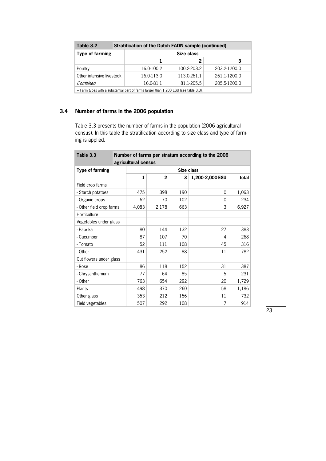| Table 3.2                                                                            | <b>Stratification of the Dutch FADN sample (continued)</b> |             |              |  |  |  |  |  |
|--------------------------------------------------------------------------------------|------------------------------------------------------------|-------------|--------------|--|--|--|--|--|
| Type of farming                                                                      | Size class                                                 |             |              |  |  |  |  |  |
|                                                                                      |                                                            |             | 3            |  |  |  |  |  |
| Poultry                                                                              | 16.0-100.2                                                 | 100.2-203.2 | 203.2-1200.0 |  |  |  |  |  |
| Other intensive livestock                                                            | 16.0-113.0                                                 | 113.0-261.1 | 261.1-1200.0 |  |  |  |  |  |
| Combined                                                                             | 16.0-81.1                                                  | 81.1-205.5  | 205.5-1200.0 |  |  |  |  |  |
| + Farm types with a substantial part of farms larger than 1,200 ESU (see table 3.3). |                                                            |             |              |  |  |  |  |  |

# **3.4 Number of farms in the 2006 population**

Table 3.3 presents the number of farms in the population (2006 agricultural census). In this table the stratification according to size class and type of farming is applied.

| Table 3.3                |  | Number of farms per stratum according to the 2006<br>agricultural census |                |            |                 |       |  |  |
|--------------------------|--|--------------------------------------------------------------------------|----------------|------------|-----------------|-------|--|--|
| Type of farming          |  |                                                                          |                | Size class |                 |       |  |  |
|                          |  | $\mathbf{1}$                                                             | $\overline{2}$ | 3          | 1,200-2,000 ESU | total |  |  |
| Field crop farms         |  |                                                                          |                |            |                 |       |  |  |
| - Starch potatoes        |  | 475                                                                      | 398            | 190        | $\Omega$        | 1,063 |  |  |
| - Organic crops          |  | 62                                                                       | 70             | 102        | 0               | 234   |  |  |
| - Other field crop farms |  | 4,083                                                                    | 2,178          | 663        | 3               | 6,927 |  |  |
| Horticulture             |  |                                                                          |                |            |                 |       |  |  |
| Vegetables under glass   |  |                                                                          |                |            |                 |       |  |  |
| - Paprika                |  | 80                                                                       | 144            | 132        | 27              | 383   |  |  |
| - Cucumber               |  | 87                                                                       | 107            | 70         | 4               | 268   |  |  |
| - Tomato                 |  | 52                                                                       | 111            | 108        | 45              | 316   |  |  |
| - Other                  |  | 431                                                                      | 252            | 88         | 11              | 782   |  |  |
| Cut flowers under glass  |  |                                                                          |                |            |                 |       |  |  |
| - Rose                   |  | 86                                                                       | 118            | 152        | 31              | 387   |  |  |
| - Chrysanthemum          |  | 77                                                                       | 64             | 85         | 5               | 231   |  |  |
| - Other                  |  | 763                                                                      | 654            | 292        | 20              | 1,729 |  |  |
| Plants                   |  | 498                                                                      | 370            | 260        | 58              | 1,186 |  |  |
| Other glass              |  | 353                                                                      | 212            | 156        | 11              | 732   |  |  |
| Field vegetables         |  | 507                                                                      | 292            | 108        | 7               | 914   |  |  |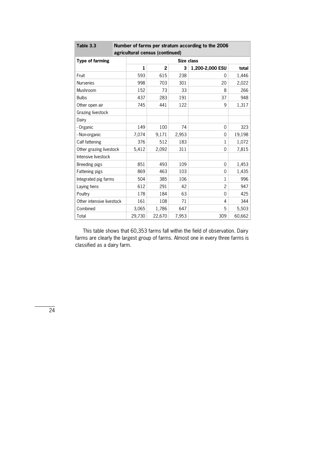| Table 3.3                 |              | Number of farms per stratum according to the 2006 |        |                 |                |        |  |  |  |
|---------------------------|--------------|---------------------------------------------------|--------|-----------------|----------------|--------|--|--|--|
|                           |              | agricultural census (continued)                   |        |                 |                |        |  |  |  |
| <b>Type of farming</b>    |              | Size class                                        |        |                 |                |        |  |  |  |
|                           | $\mathbf{1}$ | $\mathbf{2}$                                      | 3      | 1,200-2,000 ESU | total          |        |  |  |  |
| Fruit                     |              | 593                                               | 615    | 238             | 0              | 1,446  |  |  |  |
| <b>Nurseries</b>          |              | 998                                               | 703    | 301             | 20             | 2,022  |  |  |  |
| Mushroom                  |              | 152                                               | 73     | 33              | 8              | 266    |  |  |  |
| <b>Bulbs</b>              |              | 437                                               | 283    | 191             | 37             | 948    |  |  |  |
| Other open air            |              | 745                                               | 441    | 122             | 9              | 1,317  |  |  |  |
| Grazing livestock         |              |                                                   |        |                 |                |        |  |  |  |
| Dairy                     |              |                                                   |        |                 |                |        |  |  |  |
| - Organic                 |              | 149                                               | 100    | 74              | $\overline{0}$ | 323    |  |  |  |
| - Non-organic             |              | 7,074                                             | 9,171  | 2,953           | 0              | 19,198 |  |  |  |
| Calf fattening            |              | 376                                               | 512    | 183             | 1              | 1,072  |  |  |  |
| Other grazing livestock   |              | 5,412                                             | 2,092  | 311             | 0              | 7,815  |  |  |  |
| Intensive livestock       |              |                                                   |        |                 |                |        |  |  |  |
| Breeding pigs             |              | 851                                               | 493    | 109             | 0              | 1,453  |  |  |  |
| Fattening pigs            |              | 869                                               | 463    | 103             | 0              | 1,435  |  |  |  |
| Integrated pig farms      |              | 504                                               | 385    | 106             | 1              | 996    |  |  |  |
| Laying hens               |              | 612                                               | 291    | 42              | $\overline{2}$ | 947    |  |  |  |
| Poultry                   |              | 178                                               | 184    | 63              | 0              | 425    |  |  |  |
| Other intensive livestock |              | 161                                               | 108    | 71              | 4              | 344    |  |  |  |
| Combined                  |              | 3,065                                             | 1,786  | 647             | 5              | 5,503  |  |  |  |
| Total                     |              | 29,730                                            | 22,670 | 7,953           | 309            | 60,662 |  |  |  |

This table shows that 60,353 farms fall within the field of observation. Dairy farms are clearly the largest group of farms. Almost one in every three farms is classified as a dairy farm.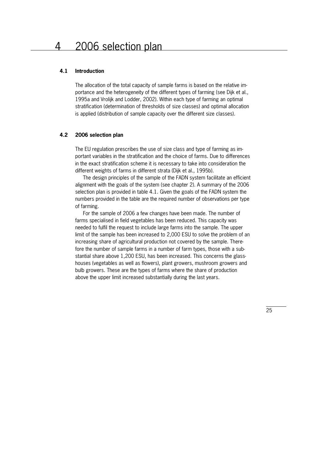#### **4.1 Introduction**

The allocation of the total capacity of sample farms is based on the relative im\* portance and the heterogeneity of the different types of farming (see Dijk et al., 1995a and Vrolijk and Lodder, 2002). Within each type of farming an optimal stratification (determination of thresholds of size classes) and optimal allocation is applied (distribution of sample capacity over the different size classes).

#### **4.2 2006 selection plan**

The EU regulation prescribes the use of size class and type of farming as important variables in the stratification and the choice of farms. Due to differences in the exact stratification scheme it is necessary to take into consideration the different weights of farms in different strata (Dijk et al., 1995b).

 The design principles of the sample of the FADN system facilitate an efficient alignment with the goals of the system (see chapter 2). A summary of the 2006 selection plan is provided in table 4.1. Given the goals of the FADN system the numbers provided in the table are the required number of observations per type of farming.

 For the sample of 2006 a few changes have been made. The number of farms specialised in field vegetables has been reduced. This capacity was needed to fulfil the request to include large farms into the sample. The upper limit of the sample has been increased to 2,000 ESU to solve the problem of an increasing share of agricultural production not covered by the sample. Therefore the number of sample farms in a number of farm types, those with a substantial share above 1,200 ESU, has been increased. This concerns the glasshouses (vegetables as well as flowers), plant growers, mushroom growers and bulb growers. These are the types of farms where the share of production above the upper limit increased substantially during the last years.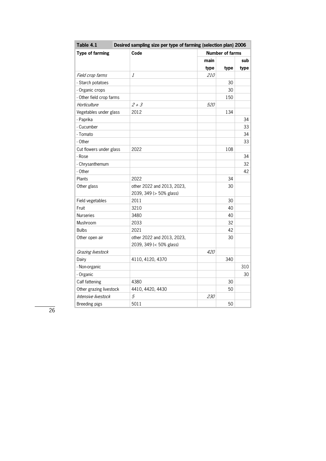| Table 4.1                | Desired sampling size per type of farming (selection plan) 2006 |                        |      |      |  |  |
|--------------------------|-----------------------------------------------------------------|------------------------|------|------|--|--|
| <b>Type of farming</b>   | Code                                                            | <b>Number of farms</b> |      |      |  |  |
|                          |                                                                 | main                   |      | sub  |  |  |
|                          |                                                                 | type                   | type | type |  |  |
| Field crop farms         | 1                                                               | <i>210</i>             |      |      |  |  |
| - Starch potatoes        |                                                                 |                        | 30   |      |  |  |
| - Organic crops          |                                                                 |                        | 30   |      |  |  |
| - Other field crop farms |                                                                 |                        | 150  |      |  |  |
| Horticulture             | $2 + 3$                                                         | 520                    |      |      |  |  |
| Vegetables under glass   | 2012                                                            |                        | 134  |      |  |  |
| - Paprika                |                                                                 |                        |      | 34   |  |  |
| - Cucumber               |                                                                 |                        |      | 33   |  |  |
| - Tomato                 |                                                                 |                        |      | 34   |  |  |
| - Other                  |                                                                 |                        |      | 33   |  |  |
| Cut flowers under glass  | 2022                                                            |                        | 108  |      |  |  |
| - Rose                   |                                                                 |                        |      | 34   |  |  |
| - Chrysanthemum          |                                                                 |                        |      | 32   |  |  |
| - Other                  |                                                                 |                        |      | 42   |  |  |
| Plants                   | 2022                                                            |                        | 34   |      |  |  |
| Other glass              | other 2022 and 2013, 2023,                                      |                        | 30   |      |  |  |
|                          | 2039, 349 (> 50% glass)                                         |                        |      |      |  |  |
| Field vegetables         | 2011                                                            |                        | 30   |      |  |  |
| Fruit                    | 3210                                                            |                        | 40   |      |  |  |
| <b>Nurseries</b>         | 3480                                                            |                        | 40   |      |  |  |
| Mushroom                 | 2033                                                            |                        | 32   |      |  |  |
| <b>Bulbs</b>             | 2021                                                            |                        | 42   |      |  |  |
| Other open air           | other 2022 and 2013, 2023,                                      |                        | 30   |      |  |  |
|                          | 2039, 349 (< 50% glass)                                         |                        |      |      |  |  |
| Grazing livestock        |                                                                 | 420                    |      |      |  |  |
| Dairy                    | 4110, 4120, 4370                                                |                        | 340  |      |  |  |
| - Non-organic            |                                                                 |                        |      | 310  |  |  |
| - Organic                |                                                                 |                        |      | 30   |  |  |
| Calf fattening           | 4380                                                            |                        | 30   |      |  |  |
| Other grazing livestock  | 4410, 4420, 4430                                                |                        | 50   |      |  |  |
| Intensive livestock      | 5                                                               | 230                    |      |      |  |  |
| Breeding pigs            | 5011                                                            |                        | 50   |      |  |  |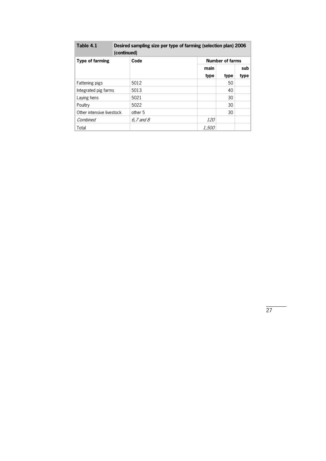| Table 4.1                 | Desired sampling size per type of farming (selection plan) 2006<br>(continued) |              |                        |      |  |  |  |
|---------------------------|--------------------------------------------------------------------------------|--------------|------------------------|------|--|--|--|
| Type of farming           | Code                                                                           |              | <b>Number of farms</b> |      |  |  |  |
|                           |                                                                                | main         |                        | sub  |  |  |  |
|                           |                                                                                | type         | type                   | type |  |  |  |
| Fattening pigs            | 5012                                                                           |              | 50                     |      |  |  |  |
| Integrated pig farms      | 5013                                                                           |              | 40                     |      |  |  |  |
| Laying hens               | 5021                                                                           |              | 30                     |      |  |  |  |
| Poultry                   | 5022                                                                           |              | 30                     |      |  |  |  |
| Other intensive livestock | other 5                                                                        |              | 30                     |      |  |  |  |
| Combined                  | $6.7$ and $8$                                                                  | <i>120</i>   |                        |      |  |  |  |
| Total                     |                                                                                | <i>1,500</i> |                        |      |  |  |  |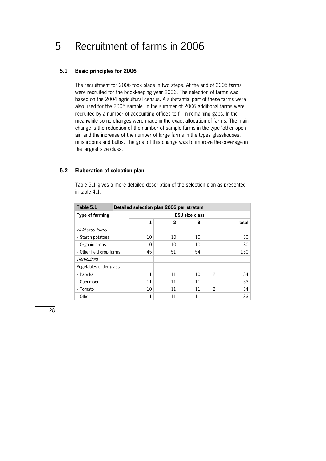# **5.1 Basic principles for 2006**

The recruitment for 2006 took place in two steps. At the end of 2005 farms were recruited for the bookkeeping year 2006. The selection of farms was based on the 2004 agricultural census. A substantial part of these farms were also used for the 2005 sample. In the summer of 2006 additional farms were recruited by a number of accounting offices to fill in remaining gaps. In the meanwhile some changes were made in the exact allocation of farms. The main change is the reduction of the number of sample farms in the type 'other open air' and the increase of the number of large farms in the types glasshouses, mushrooms and bulbs. The goal of this change was to improve the coverage in the largest size class.

#### **5.2 Elaboration of selection plan**

Table 5.1 gives a more detailed description of the selection plan as presented in table 4.1.

| Table 5.1                |  | Detailed selection plan 2006 per stratum |    |    |                |       |  |  |
|--------------------------|--|------------------------------------------|----|----|----------------|-------|--|--|
| <b>Type of farming</b>   |  | <b>ESU size class</b>                    |    |    |                |       |  |  |
|                          |  | 1                                        | 2  | 3  |                | total |  |  |
| Field crop farms         |  |                                          |    |    |                |       |  |  |
| - Starch potatoes        |  | 10                                       | 10 | 10 |                | 30    |  |  |
| - Organic crops          |  | 10                                       | 10 | 10 |                | 30    |  |  |
| - Other field crop farms |  | 45                                       | 51 | 54 |                | 150   |  |  |
| Horticulture             |  |                                          |    |    |                |       |  |  |
| Vegetables under glass   |  |                                          |    |    |                |       |  |  |
| - Paprika                |  | 11                                       | 11 | 10 | $\mathfrak{p}$ | 34    |  |  |
| - Cucumber               |  | 11                                       | 11 | 11 |                | 33    |  |  |
| - Tomato                 |  | 10                                       | 11 | 11 | $\mathfrak{p}$ | 34    |  |  |
| - Other                  |  | 11                                       | 11 | 11 |                | 33    |  |  |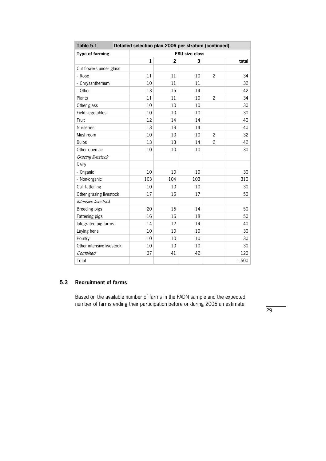| Table 5.1                 | Detailed selection plan 2006 per stratum (continued) |                |     |                |       |  |
|---------------------------|------------------------------------------------------|----------------|-----|----------------|-------|--|
| <b>Type of farming</b>    | <b>ESU size class</b>                                |                |     |                |       |  |
|                           | $\mathbf{1}$                                         | $\overline{2}$ | 3   |                | total |  |
| Cut flowers under glass   |                                                      |                |     |                |       |  |
| - Rose                    | 11                                                   | 11             | 10  | $\overline{c}$ | 34    |  |
| - Chrysanthemum           | 10                                                   | 11             | 11  |                | 32    |  |
| - Other                   | 13                                                   | 15             | 14  |                | 42    |  |
| Plants                    | 11                                                   | 11             | 10  | $\overline{2}$ | 34    |  |
| Other glass               | 10                                                   | 10             | 10  |                | 30    |  |
| Field vegetables          | 10                                                   | 10             | 10  |                | 30    |  |
| Fruit                     | 12                                                   | 14             | 14  |                | 40    |  |
| <b>Nurseries</b>          | 13                                                   | 13             | 14  |                | 40    |  |
| Mushroom                  | 10                                                   | 10             | 10  | $\overline{2}$ | 32    |  |
| <b>Bulbs</b>              | 13                                                   | 13             | 14  | $\overline{c}$ | 42    |  |
| Other open air            | 10                                                   | 10             | 10  |                | 30    |  |
| Grazing livestock         |                                                      |                |     |                |       |  |
| Dairy                     |                                                      |                |     |                |       |  |
| - Organic                 | 10                                                   | 10             | 10  |                | 30    |  |
| - Non-organic             | 103                                                  | 104            | 103 |                | 310   |  |
| Calf fattening            | 10                                                   | 10             | 10  |                | 30    |  |
| Other grazing livestock   | 17                                                   | 16             | 17  |                | 50    |  |
| Intensive livestock       |                                                      |                |     |                |       |  |
| Breeding pigs             | 20                                                   | 16             | 14  |                | 50    |  |
| Fattening pigs            | 16                                                   | 16             | 18  |                | 50    |  |
| Integrated pig farms      | 14                                                   | 12             | 14  |                | 40    |  |
| Laying hens               | 10                                                   | 10             | 10  |                | 30    |  |
| Poultry                   | 10                                                   | 10             | 10  |                | 30    |  |
| Other intensive livestock | 10                                                   | 10             | 10  |                | 30    |  |
| Combined                  | 37                                                   | 41             | 42  |                | 120   |  |
| Total                     |                                                      |                |     |                | 1,500 |  |

# **5.3 Recruitment of farms**

Based on the available number of farms in the FADN sample and the expected number of farms ending their participation before or during 2006 an estimate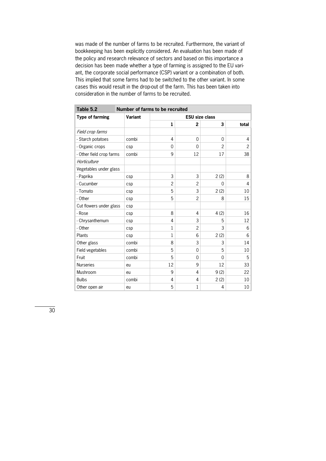was made of the number of farms to be recruited. Furthermore, the variant of bookkeeping has been explicitly considered. An evaluation has been made of the policy and research relevance of sectors and based on this importance a decision has been made whether a type of farming is assigned to the EU variant, the corporate social performance (CSP) variant or a combination of both. This implied that some farms had to be switched to the other variant. In some cases this would result in the drop-out of the farm. This has been taken into consideration in the number of farms to be recruited.

| Table 5.2                | <b>Number of farms to be recruited</b> |                       |                |      |                 |  |  |
|--------------------------|----------------------------------------|-----------------------|----------------|------|-----------------|--|--|
| <b>Type of farming</b>   | Variant                                | <b>ESU size class</b> |                |      |                 |  |  |
|                          |                                        | $\mathbf{1}$          | 2              | 3    | total           |  |  |
| Field crop farms         |                                        |                       |                |      |                 |  |  |
| - Starch potatoes        | combi                                  | 4                     | $\Omega$       | 0    | 4               |  |  |
| - Organic crops          | csp                                    | $\Omega$              | $\Omega$       | 2    | $\overline{c}$  |  |  |
| - Other field crop farms | combi                                  | 9                     | 12             | 17   | 38              |  |  |
| Horticulture             |                                        |                       |                |      |                 |  |  |
| Vegetables under glass   |                                        |                       |                |      |                 |  |  |
| - Paprika                | csp                                    | 3                     | 3              | 2(2) | 8               |  |  |
| - Cucumber               | csp                                    | $\mathfrak{p}$        | $\overline{2}$ | 0    | 4               |  |  |
| - Tomato                 | csp                                    | 5                     | 3              | 2(2) | 10              |  |  |
| - Other                  | csp                                    | 5                     | $\overline{2}$ | 8    | 15              |  |  |
| Cut flowers under glass  | csp                                    |                       |                |      |                 |  |  |
| - Rose                   | csp                                    | 8                     | 4              | 4(2) | 16              |  |  |
| - Chrysanthemum          | csp                                    | 4                     | 3              | 5    | 12              |  |  |
| - Other                  | csp                                    | 1                     | $\overline{2}$ | 3    | 6               |  |  |
| Plants                   | csp                                    | 1                     | 6              | 2(2) | 6               |  |  |
| Other glass              | combi                                  | 8                     | 3              | 3    | 14              |  |  |
| Field vegetables         | combi                                  | 5                     | $\Omega$       | 5    | 10              |  |  |
| Fruit                    | combi                                  | 5                     | $\Omega$       | 0    | 5               |  |  |
| <b>Nurseries</b>         | eu                                     | 12                    | 9              | 12   | 33              |  |  |
| Mushroom                 | eu                                     | 9                     | 4              | 9(2) | 22              |  |  |
| <b>Bulbs</b>             | combi                                  | 4                     | 4              | 2(2) | 10              |  |  |
| Other open air           | eu                                     | 5                     | 1              | 4    | 10 <sup>1</sup> |  |  |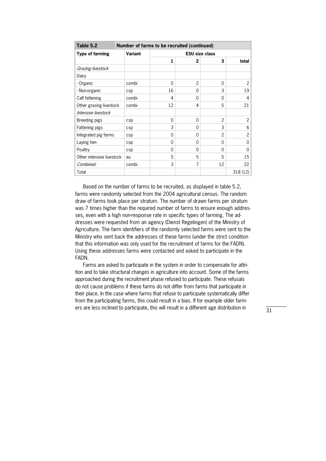| Table 5.2                 |                | Number of farms to be recruited (continued) |          |                       |          |  |  |  |
|---------------------------|----------------|---------------------------------------------|----------|-----------------------|----------|--|--|--|
| <b>Type of farming</b>    | <b>Variant</b> |                                             |          | <b>ESU size class</b> |          |  |  |  |
|                           |                | 1                                           | 2        | 3                     | total    |  |  |  |
| Grazing livestock         |                |                                             |          |                       |          |  |  |  |
| Dairy                     |                |                                             |          |                       |          |  |  |  |
| - Organic                 | combi          | $\Omega$                                    | 2        | $\Omega$              | 2        |  |  |  |
| - Non-organic             | csp            | 16                                          | 0        | 3                     | 19       |  |  |  |
| Calf fattening            | combi          | 4                                           | 0        | $\Omega$              | 4        |  |  |  |
| Other grazing livestock   | combi          | 12                                          | 4        | 5                     | 21       |  |  |  |
| Intensive livestock       |                |                                             |          |                       |          |  |  |  |
| Breeding pigs             | csp            | $\Omega$                                    | 0        | 2                     | $2\vert$ |  |  |  |
| Fattening pigs            | csp            | 3                                           | 0        | 3                     | 6        |  |  |  |
| Integrated pig farms      | csp            | $\Omega$                                    | $\Omega$ | 2                     | 2        |  |  |  |
| Laying hen                | csp            | $\Omega$                                    | $\Omega$ | $\Omega$              | 0        |  |  |  |
| Poultry                   | csp            | $\Omega$                                    | $\Omega$ | $\Omega$              | $\Omega$ |  |  |  |
| Other intensive livestock | eu             | 5                                           | 5        | 5                     | 15       |  |  |  |
| Combined                  | combi          | 3                                           | 7        | 12                    | 22       |  |  |  |
| Total                     |                |                                             |          |                       | 318(12)  |  |  |  |

 Based on the number of farms to be recruited, as displayed in table 5.2, farms were randomly selected from the 2004 agricultural census. The random draw of farms took place per stratum. The number of drawn farms per stratum was 7 times higher than the required number of farms to ensure enough addresses, even with a high non-response rate in specific types of farming. The addresses were requested from an agency (Dienst Regelingen) of the Ministry of Agriculture. The farm identifiers of the randomly selected farms were sent to the Ministry who sent back the addresses of these farms (under the strict condition that this information was only used for the recruitment of farms for the FADN). Using these addresses farms were contacted and asked to participate in the FADN.

Farms are asked to participate in the system in order to compensate for attrition and to take structural changes in agriculture into account. Some of the farms approached during the recruitment phase refused to participate. These refusals do not cause problems if these farms do not differ from farms that participate in their place. In the case where farms that refuse to participate systematically differ from the participating farms, this could result in a bias. If for example older farm\* ers are less inclined to participate, this will result in a different age distribution in

 $\overline{31}$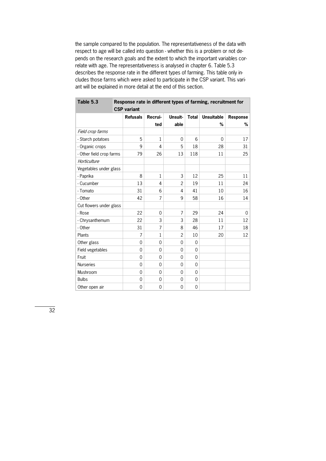the sample compared to the population. The representativeness of the data with respect to age will be called into question - whether this is a problem or not depends on the research goals and the extent to which the important variables correlate with age. The representativeness is analysed in chapter 6. Table 5.3 describes the response rate in the different types of farming. This table only includes those farms which were asked to participate in the CSP variant. This variant will be explained in more detail at the end of this section.

| Table 5.3                | Response rate in different types of farming, recruitment for |                |                |              |                   |          |  |  |  |  |  |
|--------------------------|--------------------------------------------------------------|----------------|----------------|--------------|-------------------|----------|--|--|--|--|--|
|                          | <b>CSP</b> variant                                           |                |                |              |                   |          |  |  |  |  |  |
|                          | <b>Refusals</b>                                              | Recrui-        | Unsuit-        | <b>Total</b> | <b>Unsuitable</b> | Response |  |  |  |  |  |
|                          |                                                              | ted            | able           |              | %                 | %        |  |  |  |  |  |
| Field crop farms         |                                                              |                |                |              |                   |          |  |  |  |  |  |
| - Starch potatoes        | 5                                                            | $\mathbf{1}$   | 0              | 6            | 0                 | 17       |  |  |  |  |  |
| - Organic crops          | 9                                                            | 4              | 5              | 18           | 28                | 31       |  |  |  |  |  |
| - Other field crop farms | 79                                                           | 26             | 13             | 118          | 11                | 25       |  |  |  |  |  |
| Horticulture             |                                                              |                |                |              |                   |          |  |  |  |  |  |
| Vegetables under glass   |                                                              |                |                |              |                   |          |  |  |  |  |  |
| - Paprika                | 8                                                            | $\mathbf{1}$   | 3              | 12           | 25                | 11       |  |  |  |  |  |
| - Cucumber               | 13                                                           | 4              | $\overline{c}$ | 19           | 11                | 24       |  |  |  |  |  |
| - Tomato                 | 31                                                           | 6              | 4              | 41           | 10                | 16       |  |  |  |  |  |
| - Other                  | 42                                                           | 7              | 9              | 58           | 16                | 14       |  |  |  |  |  |
| Cut flowers under glass  |                                                              |                |                |              |                   |          |  |  |  |  |  |
| - Rose                   | 22                                                           | $\overline{0}$ | $\overline{7}$ | 29           | 24                | 0        |  |  |  |  |  |
| - Chrysanthemum          | 22                                                           | 3              | 3              | 28           | 11                | 12       |  |  |  |  |  |
| - Other                  | 31                                                           | $\overline{7}$ | 8              | 46           | 17                | 18       |  |  |  |  |  |
| Plants                   | 7                                                            | $\mathbf{1}$   | $\overline{c}$ | 10           | 20                | 12       |  |  |  |  |  |
| Other glass              | $\mathbf 0$                                                  | $\overline{0}$ | 0              | $\Omega$     |                   |          |  |  |  |  |  |
| Field vegetables         | $\Omega$                                                     | 0              | 0              | $\Omega$     |                   |          |  |  |  |  |  |
| Fruit                    | $\Omega$                                                     | 0              | 0              | $\Omega$     |                   |          |  |  |  |  |  |
| <b>Nurseries</b>         | $\Omega$                                                     | 0              | 0              | $\Omega$     |                   |          |  |  |  |  |  |
| Mushroom                 | $\Omega$                                                     | $\overline{0}$ | 0              | $\Omega$     |                   |          |  |  |  |  |  |
| <b>Bulbs</b>             | $\overline{0}$                                               | 0              | 0              | 0            |                   |          |  |  |  |  |  |
| Other open air           | $\overline{0}$                                               | 0              | 0              | 0            |                   |          |  |  |  |  |  |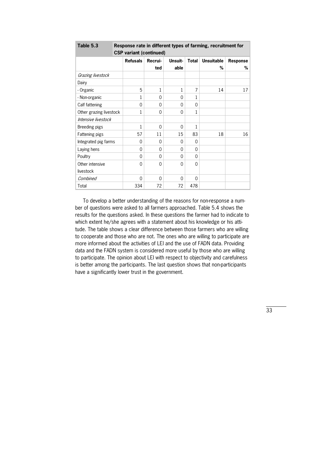| Table 5.3               |                 | Response rate in different types of farming, recruitment for |              |              |                   |          |  |  |  |  |
|-------------------------|-----------------|--------------------------------------------------------------|--------------|--------------|-------------------|----------|--|--|--|--|
|                         |                 | <b>CSP variant (continued)</b>                               |              |              |                   |          |  |  |  |  |
|                         | <b>Refusals</b> | Recrui-                                                      | Unsuit-      | <b>Total</b> | <b>Unsuitable</b> | Response |  |  |  |  |
|                         |                 | ted                                                          | able         |              | %                 | %        |  |  |  |  |
| Grazing livestock       |                 |                                                              |              |              |                   |          |  |  |  |  |
| Dairy                   |                 |                                                              |              |              |                   |          |  |  |  |  |
| - Organic               | 5               | 1                                                            | $\mathbf{1}$ | 7            | 14                | 17       |  |  |  |  |
| - Non-organic           | 1               | $\Omega$                                                     | 0            | 1            |                   |          |  |  |  |  |
| Calf fattening          | 0               | $\Omega$                                                     | $\Omega$     | $\Omega$     |                   |          |  |  |  |  |
| Other grazing livestock | 1               | 0                                                            | 0            | 1            |                   |          |  |  |  |  |
| Intensive livestock     |                 |                                                              |              |              |                   |          |  |  |  |  |
| Breeding pigs           | 1               | $\Omega$                                                     | $\Omega$     | 1            |                   |          |  |  |  |  |
| Fattening pigs          | 57              | 11                                                           | 15           | 83           | 18                | 16       |  |  |  |  |
| Integrated pig farms    | $\Omega$        | $\Omega$                                                     | 0            | $\Omega$     |                   |          |  |  |  |  |
| Laying hens             | 0               | 0                                                            | $\Omega$     | $\Omega$     |                   |          |  |  |  |  |
| Poultry                 | 0               | 0                                                            | $\Omega$     | $\Omega$     |                   |          |  |  |  |  |
| Other intensive         | $\Omega$        | 0                                                            | $\Omega$     | $\Omega$     |                   |          |  |  |  |  |
| livestock               |                 |                                                              |              |              |                   |          |  |  |  |  |
| Combined                | 0               | $\Omega$                                                     | 0            | $\Omega$     |                   |          |  |  |  |  |
| Total                   | 334             | 72                                                           | 72           | 478          |                   |          |  |  |  |  |

To develop a better understanding of the reasons for non-response a number of questions were asked to all farmers approached. Table 5.4 shows the results for the questions asked. In these questions the farmer had to indicate to which extent he/she agrees with a statement about his knowledge or his attitude. The table shows a clear difference between those farmers who are willing to cooperate and those who are not. The ones who are willing to participate are more informed about the activities of LEI and the use of FADN data. Providing data and the FADN system is considered more useful by those who are willing to participate. The opinion about LEI with respect to objectivity and carefulness is better among the participants. The last question shows that non-participants have a significantly lower trust in the government.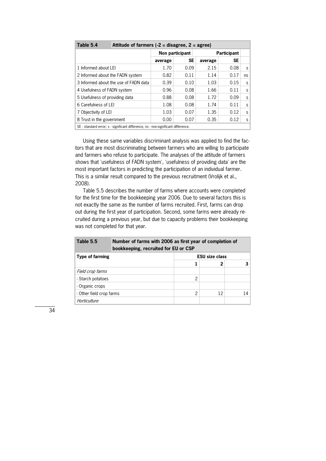| Attitude of farmers $(-2)$ = disagree, 2 = agree) |         |                                      |                 |           |                    |  |  |
|---------------------------------------------------|---------|--------------------------------------|-----------------|-----------|--------------------|--|--|
|                                                   |         |                                      |                 |           |                    |  |  |
|                                                   | average | <b>SE</b>                            | average         | <b>SE</b> |                    |  |  |
| 1 Informed about LEI                              | 1.70    | 0.09                                 | 2.15            | 0.08      | S                  |  |  |
| 2 Informed about the FADN system                  |         | 0.11                                 | 1.14            | 0.17      | ns                 |  |  |
| 3 Informed about the use of FADN data             |         | 0.10                                 | 1.03            | 0.15      | S                  |  |  |
| 4 Usefulness of FADN system                       | 0.96    | 0.08                                 | 1.66            | 0.11      | S                  |  |  |
| 5 Usefulness of providing data                    |         | 0.08                                 | 1.72            | 0.09      | S                  |  |  |
| 6 Carefulness of LEI                              |         | 0.08                                 | 1.74            | 0.11      | S                  |  |  |
| 7 Objectivity of LEI                              |         | 0.07                                 | 1.35            | 0.12      | S                  |  |  |
| 8 Trust in the government                         | 0.00    | 0.07                                 | 0.35            | 0.12      | S                  |  |  |
|                                                   |         | 0.82<br>0.39<br>0.88<br>1.08<br>1.03 | Non participant |           | <b>Participant</b> |  |  |

 $\parallel$  SE - standard error; s - significant difference, ns - non-significant difference.

Using these same variables discriminant analysis was applied to find the factors that are most discriminating between farmers who are willing to participate and farmers who refuse to participate. The analyses of the attitude of farmers shows that 'usefulness of FADN system', 'usefulness of providing data' are the most important factors in predicting the participation of an individual farmer. This is a similar result compared to the previous recruitment (Vrolijk et al., 2008).

 Table 5.5 describes the number of farms where accounts were completed for the first time for the bookkeeping year 2006. Due to several factors this is not exactly the same as the number of farms recruited. First, farms can drop out during the first year of participation. Second, some farms were already recruited during a previous year, but due to capacity problems their bookkeeping was not completed for that year.

| Table 5.5                | Number of farms with 2006 as first year of completion of<br>bookkeeping, recruited for EU or CSP |   |                       |    |  |  |
|--------------------------|--------------------------------------------------------------------------------------------------|---|-----------------------|----|--|--|
| <b>Type of farming</b>   |                                                                                                  |   | <b>ESU size class</b> |    |  |  |
|                          |                                                                                                  |   | 2                     | 3  |  |  |
| Field crop farms         |                                                                                                  |   |                       |    |  |  |
| - Starch potatoes        |                                                                                                  | 2 |                       |    |  |  |
| - Organic crops          |                                                                                                  |   |                       |    |  |  |
| - Other field crop farms |                                                                                                  | 2 | 12                    | 14 |  |  |
| Horticulture             |                                                                                                  |   |                       |    |  |  |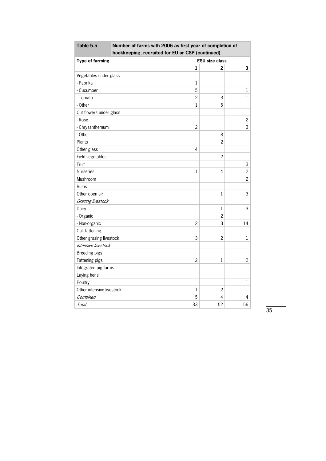| Table 5.5                 | Number of farms with 2006 as first year of completion of |                       |                |                |  |  |  |
|---------------------------|----------------------------------------------------------|-----------------------|----------------|----------------|--|--|--|
|                           | bookkeeping, recruited for EU or CSP (continued)         |                       |                |                |  |  |  |
| <b>Type of farming</b>    |                                                          | <b>ESU size class</b> |                |                |  |  |  |
|                           |                                                          | 1                     | 2              | 3              |  |  |  |
| Vegetables under glass    |                                                          |                       |                |                |  |  |  |
| - Paprika                 |                                                          | 1                     |                |                |  |  |  |
| - Cucumber                |                                                          | 5                     |                | $\mathbf{1}$   |  |  |  |
| - Tomato                  |                                                          | $\mathfrak{p}$        | 3              | $\mathbf{1}$   |  |  |  |
| - Other                   |                                                          | $\mathbf{1}$          | 5              |                |  |  |  |
| Cut flowers under glass   |                                                          |                       |                |                |  |  |  |
| - Rose                    |                                                          |                       |                | $\overline{c}$ |  |  |  |
| - Chrysanthemum           |                                                          | $\overline{c}$        |                | 3              |  |  |  |
| - Other                   |                                                          |                       | 8              |                |  |  |  |
| Plants                    |                                                          |                       | $\overline{2}$ |                |  |  |  |
| Other glass               |                                                          | 4                     |                |                |  |  |  |
| Field vegetables          |                                                          |                       | $\overline{c}$ |                |  |  |  |
| Fruit                     |                                                          |                       |                | $\mathsf 3$    |  |  |  |
| <b>Nurseries</b>          |                                                          | 1                     | 4              | $\overline{c}$ |  |  |  |
| Mushroom                  |                                                          |                       |                | $\overline{c}$ |  |  |  |
| <b>Bulbs</b>              |                                                          |                       |                |                |  |  |  |
| Other open air            |                                                          |                       | $\mathbf{1}$   | 3              |  |  |  |
| Grazing livestock         |                                                          |                       |                |                |  |  |  |
| Dairy                     |                                                          |                       | $\mathbf{1}$   | 3              |  |  |  |
| - Organic                 |                                                          |                       | $\overline{c}$ |                |  |  |  |
| - Non-organic             |                                                          | $\overline{c}$        | 3              | 14             |  |  |  |
| Calf fattening            |                                                          |                       |                |                |  |  |  |
| Other grazing livestock   |                                                          | 3                     | 2              | 1              |  |  |  |
| Intensive livestock       |                                                          |                       |                |                |  |  |  |
| Breeding pigs             |                                                          |                       |                |                |  |  |  |
| Fattening pigs            |                                                          | 2                     | $\mathbf 1$    | 2              |  |  |  |
| Integrated pig farms      |                                                          |                       |                |                |  |  |  |
| Laying hens               |                                                          |                       |                |                |  |  |  |
| Poultry                   |                                                          |                       |                | $\mathbf{1}$   |  |  |  |
| Other intensive livestock |                                                          | 1                     | 2              |                |  |  |  |
| Combined                  |                                                          | 5                     | 4              | 4              |  |  |  |
| Total                     |                                                          | 33                    | 52             | 56             |  |  |  |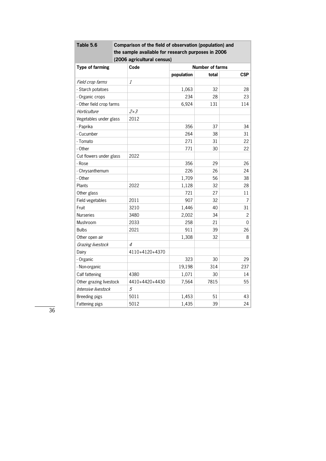| Table 5.6                | Comparison of the field of observation (population) and<br>the sample available for research purposes in 2006<br>(2006 agricultural census) |            |                        |                |  |  |  |
|--------------------------|---------------------------------------------------------------------------------------------------------------------------------------------|------------|------------------------|----------------|--|--|--|
| <b>Type of farming</b>   | Code                                                                                                                                        |            | <b>Number of farms</b> |                |  |  |  |
|                          |                                                                                                                                             | population | total                  | <b>CSP</b>     |  |  |  |
| Field crop farms         | 1                                                                                                                                           |            |                        |                |  |  |  |
| - Starch potatoes        |                                                                                                                                             | 1,063      | 32                     | 28             |  |  |  |
| - Organic crops          |                                                                                                                                             | 234        | 28                     | 23             |  |  |  |
| - Other field crop farms |                                                                                                                                             | 6,924      | 131                    | 114            |  |  |  |
| Horticulture             | $2 + 3$                                                                                                                                     |            |                        |                |  |  |  |
| Vegetables under glass   | 2012                                                                                                                                        |            |                        |                |  |  |  |
| - Paprika                |                                                                                                                                             | 356        | 37                     | 34             |  |  |  |
| - Cucumber               |                                                                                                                                             | 264        | 38                     | 31             |  |  |  |
| - Tomato                 |                                                                                                                                             | 271        | 31                     | 22             |  |  |  |
| - Other                  |                                                                                                                                             | 771        | 30                     | 22             |  |  |  |
| Cut flowers under glass  | 2022                                                                                                                                        |            |                        |                |  |  |  |
| - Rose                   |                                                                                                                                             | 356        | 29                     | 26             |  |  |  |
| - Chrysanthemum          |                                                                                                                                             | 226        | 26                     | 24             |  |  |  |
| - Other                  |                                                                                                                                             | 1,709      | 56                     | 38             |  |  |  |
| Plants                   | 2022                                                                                                                                        | 1,128      | 32                     | 28             |  |  |  |
| Other glass              |                                                                                                                                             | 721        | 27                     | 11             |  |  |  |
| Field vegetables         | 2011                                                                                                                                        | 907        | 32                     | 7              |  |  |  |
| Fruit                    | 3210                                                                                                                                        | 1,446      | 40                     | 31             |  |  |  |
| <b>Nurseries</b>         | 3480                                                                                                                                        | 2,002      | 34                     | $\overline{c}$ |  |  |  |
| Mushroom                 | 2033                                                                                                                                        | 258        | 21                     | 0              |  |  |  |
| <b>Bulbs</b>             | 2021                                                                                                                                        | 911        | 39                     | 26             |  |  |  |
| Other open air           |                                                                                                                                             | 1,308      | 32                     | 8              |  |  |  |
| Grazing livestock        | $\overline{A}$                                                                                                                              |            |                        |                |  |  |  |
| Dairy                    | 4110+4120+4370                                                                                                                              |            |                        |                |  |  |  |
| - Organic                |                                                                                                                                             | 323        | 30                     | 29             |  |  |  |
| - Non-organic            |                                                                                                                                             | 19,198     | 314                    | 237            |  |  |  |
| Calf fattening           | 4380                                                                                                                                        | 1,071      | 30                     | 14             |  |  |  |
| Other grazing livestock  | 4410+4420+4430                                                                                                                              | 7,564      | 7815                   | 55             |  |  |  |
| Intensive livestock      | $\sqrt{5}$                                                                                                                                  |            |                        |                |  |  |  |
| Breeding pigs            | 5011                                                                                                                                        | 1,453      | 51                     | 43             |  |  |  |
| Fattening pigs           | 5012                                                                                                                                        | 1,435      | 39                     | 24             |  |  |  |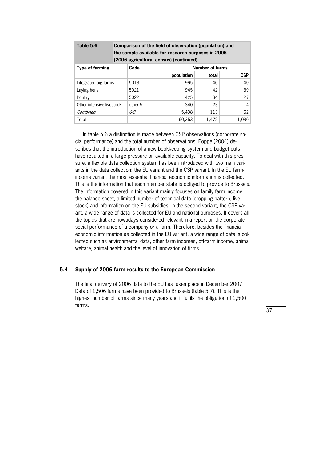| Table 5.6                 | Comparison of the field of observation (population) and<br>the sample available for research purposes in 2006<br>(2006 agricultural census) (continued) |         |            |                        |            |  |
|---------------------------|---------------------------------------------------------------------------------------------------------------------------------------------------------|---------|------------|------------------------|------------|--|
| <b>Type of farming</b>    | Code                                                                                                                                                    |         |            | <b>Number of farms</b> |            |  |
|                           |                                                                                                                                                         |         | population | total                  | <b>CSP</b> |  |
| Integrated pig farms      | 5013                                                                                                                                                    |         | 995        | 46                     | 40         |  |
| Laying hens               | 5021                                                                                                                                                    |         | 945        | 42                     | 39         |  |
| Poultry                   | 5022                                                                                                                                                    |         | 425        | 34                     | 27         |  |
| Other intensive livestock |                                                                                                                                                         | other 5 | 340        | 23                     | 4          |  |
| Combined                  | 6-8                                                                                                                                                     |         | 5,498      | 113                    | 62         |  |
| Total                     |                                                                                                                                                         |         | 60.353     | 1,472                  | 1.030      |  |

In table 5.6 a distinction is made between CSP observations (corporate social performance) and the total number of observations. Poppe (2004) de\* scribes that the introduction of a new bookkeeping system and budget cuts have resulted in a large pressure on available capacity. To deal with this pressure, a flexible data collection system has been introduced with two main variants in the data collection: the EU variant and the CSP variant. In the EU farmincome variant the most essential financial economic information is collected. This is the information that each member state is obliged to provide to Brussels. The information covered in this variant mainly focuses on family farm income, the balance sheet, a limited number of technical data (cropping pattern, live\* stock) and information on the EU subsidies. In the second variant, the CSP variant, a wide range of data is collected for EU and national purposes. It covers all the topics that are nowadays considered relevant in a report on the corporate social performance of a company or a farm. Therefore, besides the financial economic information as collected in the EU variant, a wide range of data is col\* lected such as environmental data, other farm incomes, off-farm income, animal welfare, animal health and the level of innovation of firms.

# **5.4 Supply of 2006 farm results to the European Commission**

The final delivery of 2006 data to the EU has taken place in December 2007. Data of 1,506 farms have been provided to Brussels (table 5.7). This is the highest number of farms since many years and it fulfils the obligation of 1,500 farms.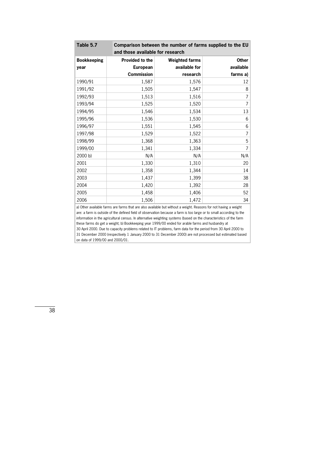| Table 5.7                                                                                                                                                                                                                               | Comparison between the number of farms supplied to the EU<br>and those available for research |                       |                |  |  |
|-----------------------------------------------------------------------------------------------------------------------------------------------------------------------------------------------------------------------------------------|-----------------------------------------------------------------------------------------------|-----------------------|----------------|--|--|
| <b>Bookkeeping</b>                                                                                                                                                                                                                      | <b>Provided to the</b>                                                                        | <b>Weighted farms</b> | <b>Other</b>   |  |  |
| year                                                                                                                                                                                                                                    | <b>European</b>                                                                               | available for         | available      |  |  |
|                                                                                                                                                                                                                                         | <b>Commission</b>                                                                             | research              | farms a)       |  |  |
| 1990/91                                                                                                                                                                                                                                 | 1,587                                                                                         | 1,576                 | 12             |  |  |
| 1991/92                                                                                                                                                                                                                                 | 1,505                                                                                         | 1,547                 | 8              |  |  |
| 1992/93                                                                                                                                                                                                                                 | 1,513                                                                                         | 1,516                 | 7              |  |  |
| 1993/94                                                                                                                                                                                                                                 | 1,525                                                                                         | 1,520                 | $\overline{7}$ |  |  |
| 1994/95                                                                                                                                                                                                                                 | 1,546                                                                                         | 1,534                 | 13             |  |  |
| 1995/96                                                                                                                                                                                                                                 | 1,536                                                                                         | 1,530                 | 6              |  |  |
| 1996/97                                                                                                                                                                                                                                 | 1,551                                                                                         | 1,545                 | 6              |  |  |
| 1997/98                                                                                                                                                                                                                                 | 1,529                                                                                         | 1,522                 | $\overline{7}$ |  |  |
| 1998/99                                                                                                                                                                                                                                 | 1,368                                                                                         | 1,363                 | 5              |  |  |
| 1999/00                                                                                                                                                                                                                                 | 1,341                                                                                         | 1,334                 | 7              |  |  |
| 2000 b                                                                                                                                                                                                                                  | N/A                                                                                           | N/A                   | N/A            |  |  |
| 2001                                                                                                                                                                                                                                    | 1,330                                                                                         | 1,310                 | 20             |  |  |
| 2002                                                                                                                                                                                                                                    | 1,358                                                                                         | 1,344                 | 14             |  |  |
| 2003                                                                                                                                                                                                                                    | 1,437                                                                                         | 1,399                 | 38             |  |  |
| 2004                                                                                                                                                                                                                                    | 1,420                                                                                         | 1,392                 | 28             |  |  |
| 2005                                                                                                                                                                                                                                    | 1,458                                                                                         | 1,406                 | 52             |  |  |
| 2006                                                                                                                                                                                                                                    | 1,506                                                                                         | 1,472                 | 34             |  |  |
| a) Other available farms are farms that are also available but without a weight. Reasons for not having a weight<br>are: a farm is outside of the defined field of observation because a farm is too large or to small according to the |                                                                                               |                       |                |  |  |

information in the agricultural census. In alternative weighting systems (based on the characteristics of the farm these farms do get a weight; b) Bookkeeping year 1999/00 ended for arable farms and husbandry at 30 April 2000. Due to capacity problems related to IT problems, farm data for the period from 30 April 2000 to 31 December 2000 (respectively 1 January 2000 to 31 December 2000) are not processed but estimated based on data of 1999/00 and 2000/01.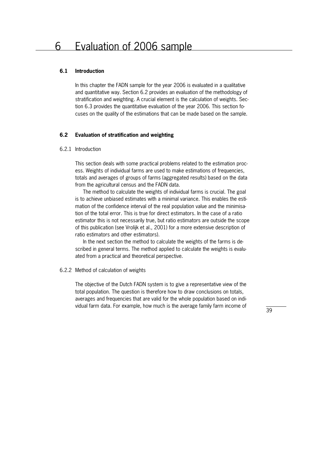#### **6.1 Introduction**

In this chapter the FADN sample for the year 2006 is evaluated in a qualitative and quantitative way. Section 6.2 provides an evaluation of the methodology of stratification and weighting. A crucial element is the calculation of weights. Section 6.3 provides the quantitative evaluation of the year 2006. This section fo\* cuses on the quality of the estimations that can be made based on the sample.

#### **6.2 Evaluation of stratification and weighting**

#### 6.2.1 Introduction

This section deals with some practical problems related to the estimation proc\* ess. Weights of individual farms are used to make estimations of frequencies, totals and averages of groups of farms (aggregated results) based on the data from the agricultural census and the FADN data.

 The method to calculate the weights of individual farms is crucial. The goal is to achieve unbiased estimates with a minimal variance. This enables the estimation of the confidence interval of the real population value and the minimisation of the total error. This is true for direct estimators. In the case of a ratio estimator this is not necessarily true, but ratio estimators are outside the scope of this publication (see Vrolijk et al., 2001) for a more extensive description of ratio estimators and other estimators).

In the next section the method to calculate the weights of the farms is described in general terms. The method applied to calculate the weights is evaluated from a practical and theoretical perspective.

#### 6.2.2 Method of calculation of weights

The objective of the Dutch FADN system is to give a representative view of the total population. The question is therefore how to draw conclusions on totals, averages and frequencies that are valid for the whole population based on individual farm data. For example, how much is the average family farm income of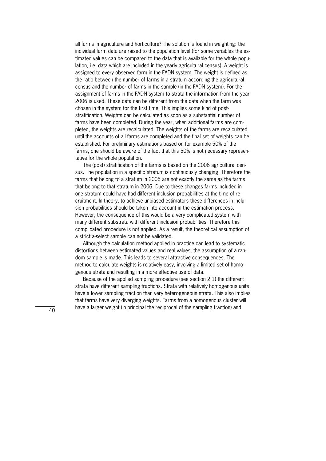all farms in agriculture and horticulture? The solution is found in weighting: the individual farm data are raised to the population level (for some variables the estimated values can be compared to the data that is available for the whole population, i.e. data which are included in the yearly agricultural census). A weight is assigned to every observed farm in the FADN system. The weight is defined as the ratio between the number of farms in a stratum according the agricultural census and the number of farms in the sample (in the FADN system). For the assignment of farms in the FADN system to strata the information from the year 2006 is used. These data can be different from the data when the farm was chosen in the system for the first time. This implies some kind of poststratification. Weights can be calculated as soon as a substantial number of farms have been completed. During the year, when additional farms are completed, the weights are recalculated. The weights of the farms are recalculated until the accounts of all farms are completed and the final set of weights can be established. For preliminary estimations based on for example 50% of the farms, one should be aware of the fact that this 50% is not necessary represen\* tative for the whole population.

 The (post) stratification of the farms is based on the 2006 agricultural cen\* sus. The population in a specific stratum is continuously changing. Therefore the farms that belong to a stratum in 2005 are not exactly the same as the farms that belong to that stratum in 2006. Due to these changes farms included in one stratum could have had different inclusion probabilities at the time of recruitment. In theory, to achieve unbiased estimators these differences in inclu\* sion probabilities should be taken into account in the estimation process. However, the consequence of this would be a very complicated system with many different substrata with different inclusion probabilities. Therefore this complicated procedure is not applied. As a result, the theoretical assumption of a strict a-select sample can not be validated.

 Although the calculation method applied in practice can lead to systematic distortions between estimated values and real values, the assumption of a ran\* dom sample is made. This leads to several attractive consequences. The method to calculate weights is relatively easy, involving a limited set of homogenous strata and resulting in a more effective use of data.

 Because of the applied sampling procedure (see section 2.1) the different strata have different sampling fractions. Strata with relatively homogenous units have a lower sampling fraction than very heterogeneous strata. This also implies that farms have very diverging weights. Farms from a homogenous cluster will have a larger weight (in principal the reciprocal of the sampling fraction) and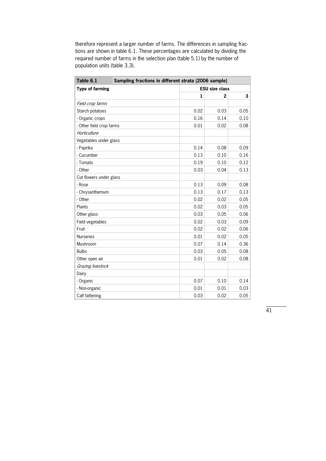therefore represent a larger number of farms. The differences in sampling fractions are shown in table 6.1. These percentages are calculated by dividing the required number of farms in the selection plan (table 5.1) by the number of population units (table 3.3).

| Table 6.1                | Sampling fractions in different strata (2006 sample) |                       |                |      |  |  |  |
|--------------------------|------------------------------------------------------|-----------------------|----------------|------|--|--|--|
| <b>Type of farming</b>   |                                                      | <b>ESU size class</b> |                |      |  |  |  |
|                          |                                                      | $\mathbf{1}$          | $\overline{2}$ | 3    |  |  |  |
| Field crop farms         |                                                      |                       |                |      |  |  |  |
| Starch potatoes          |                                                      | 0.02                  | 0.03           | 0.05 |  |  |  |
| - Organic crops          |                                                      | 0.16                  | 0.14           | 0.10 |  |  |  |
| - Other field crop farms |                                                      | 0.01                  | 0.02           | 0.08 |  |  |  |
| Horticulture             |                                                      |                       |                |      |  |  |  |
| Vegetables under glass   |                                                      |                       |                |      |  |  |  |
| - Paprika                |                                                      | 0.14                  | 0.08           | 0.09 |  |  |  |
| - Cucumber               |                                                      | 0.13                  | 0.10           | 0.16 |  |  |  |
| - Tomato                 |                                                      | 0.19                  | 0.10           | 0.12 |  |  |  |
| - Other                  |                                                      | 0.03                  | 0.04           | 0.13 |  |  |  |
| Cut flowers under glass  |                                                      |                       |                |      |  |  |  |
| - Rose                   |                                                      | 0.13                  | 0.09           | 0.08 |  |  |  |
| - Chrysanthemum          |                                                      | 0.13                  | 0.17           | 0.13 |  |  |  |
| - Other                  |                                                      | 0.02                  | 0.02           | 0.05 |  |  |  |
| Plants                   |                                                      | 0.02                  | 0.03           | 0.05 |  |  |  |
| Other glass              |                                                      | 0.03                  | 0.05           | 0.06 |  |  |  |
| Field vegetables         |                                                      | 0.02                  | 0.03           | 0.09 |  |  |  |
| Fruit                    |                                                      | 0.02                  | 0.02           | 0.06 |  |  |  |
| <b>Nurseries</b>         |                                                      | 0.01                  | 0.02           | 0.05 |  |  |  |
| Mushroom                 |                                                      | 0.07                  | 0.14           | 0.36 |  |  |  |
| <b>Bulbs</b>             |                                                      | 0.03                  | 0.05           | 0.08 |  |  |  |
| Other open air           |                                                      | 0.01                  | 0.02           | 0.08 |  |  |  |
| Grazing livestock        |                                                      |                       |                |      |  |  |  |
| Dairy                    |                                                      |                       |                |      |  |  |  |
| - Organic                |                                                      | 0.07                  | 0.10           | 0.14 |  |  |  |
| - Non-organic            |                                                      | 0.01                  | 0.01           | 0.03 |  |  |  |
| Calf fattening           |                                                      | 0.03                  | 0.02           | 0.05 |  |  |  |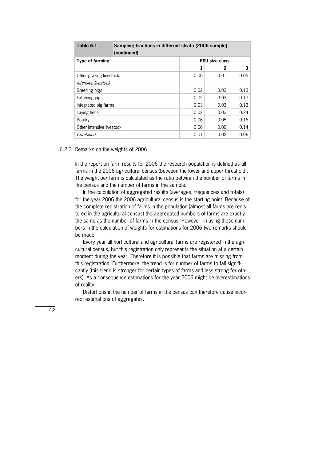| Table 6.1                 | Sampling fractions in different strata (2006 sample)<br>(continued) |      |                       |                |  |  |  |
|---------------------------|---------------------------------------------------------------------|------|-----------------------|----------------|--|--|--|
| <b>Type of farming</b>    |                                                                     |      | <b>ESU size class</b> |                |  |  |  |
|                           |                                                                     |      | 2                     | 3 <sup>1</sup> |  |  |  |
| Other grazing livestock   |                                                                     | 0.00 | 0.01                  | 0.05           |  |  |  |
| Intensive livestock       |                                                                     |      |                       |                |  |  |  |
| Breeding pigs             |                                                                     | 0.02 | 0.03                  | 0.13           |  |  |  |
| Fattening pigs            |                                                                     | 0.02 | 0.03                  | 0.17           |  |  |  |
| Integrated pig farms      |                                                                     | 0.03 | 0.03                  | 0.13           |  |  |  |
| Laying hens               |                                                                     | 0.02 | 0.03                  | 0.24           |  |  |  |
| Poultry                   |                                                                     | 0.06 | 0.05                  | 0.16           |  |  |  |
| Other intensive livestock |                                                                     | 0.06 | 0.09                  | 0.14           |  |  |  |
| Combined                  |                                                                     | 0.01 | 0.02                  | 0.06           |  |  |  |

#### 6.2.3 Remarks on the weights of 2006

In the report on farm results for 2006 the research population is defined as all farms in the 2006 agricultural census (between the lower and upper threshold). The weight per farm is calculated as the ratio between the number of farms in the census and the number of farms in the sample.

 In the calculation of aggregated results (averages, frequencies and totals) for the year 2006 the 2006 agricultural census is the starting point. Because of the complete registration of farms in the population (almost all farms are registered in the agricultural census) the aggregated numbers of farms are exactly the same as the number of farms in the census. However, in using these numbers in the calculation of weights for estimations for 2006 two remarks should be made.

Every year all horticultural and agricultural farms are registered in the agricultural census, but this registration only represents the situation at a certain moment during the year. Therefore it is possible that farms are missing from this registration. Furthermore, the trend is for number of farms to fall significantly (this trend is stronger for certain types of farms and less strong for oth\* ers). As a consequence estimations for the year 2006 might be overestimations of reality.

Distortions in the number of farms in the census can therefore cause incorrect estimations of aggregates.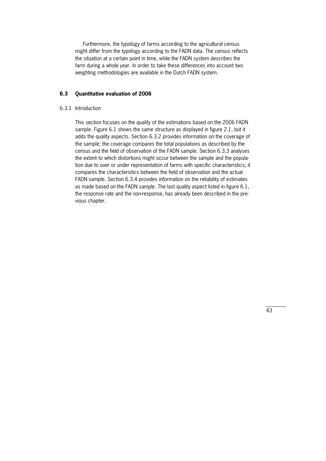Furthermore, the typology of farms according to the agricultural census might differ from the typology according to the FADN data. The census reflects the situation at a certain point in time, while the FADN system describes the farm during a whole year. In order to take these differences into account two weighting methodologies are available in the Dutch FADN system.

# **6.3 Quantitative evaluation of 2006**

#### 6.3.1 Introduction

This section focuses on the quality of the estimations based on the 2006 FADN sample. Figure 6.1 shows the same structure as displayed in figure 2.1, but it adds the quality aspects. Section 6.3.2 provides information on the coverage of the sample; the coverage compares the total populations as described by the census and the field of observation of the FADN sample. Section 6.3.3 analyses the extent to which distortions might occur between the sample and the population due to over or under representation of farms with specific characteristics; it compares the characteristics between the field of observation and the actual FADN sample. Section 6.3.4 provides information on the reliability of estimates as made based on the FADN sample. The last quality aspect listed in figure 6.1, the response rate and the non-response, has already been described in the previous chapter.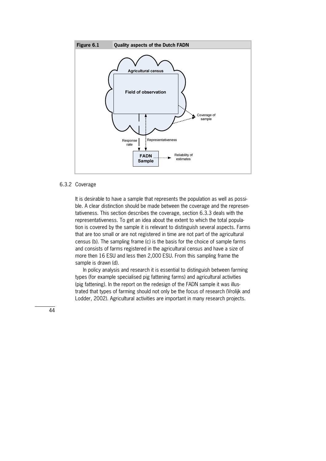

#### 6.3.2 Coverage

It is desirable to have a sample that represents the population as well as possible. A clear distinction should be made between the coverage and the representativeness. This section describes the coverage, section 6.3.3 deals with the representativeness. To get an idea about the extent to which the total popula\* tion is covered by the sample it is relevant to distinguish several aspects. Farms that are too small or are not registered in time are not part of the agricultural census (b). The sampling frame (c) is the basis for the choice of sample farms and consists of farms registered in the agricultural census and have a size of more then 16 ESU and less then 2,000 ESU. From this sampling frame the sample is drawn (d).

 In policy analysis and research it is essential to distinguish between farming types (for example specialised pig fattening farms) and agricultural activities (pig fattening). In the report on the redesign of the FADN sample it was illustrated that types of farming should not only be the focus of research (Vrolijk and Lodder, 2002). Agricultural activities are important in many research projects.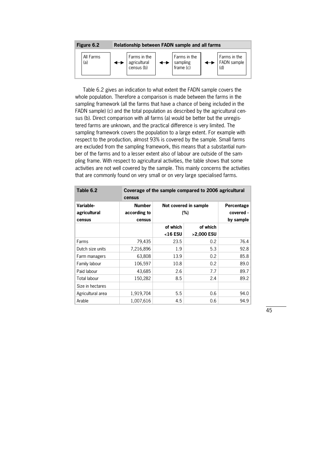| Figure 6.2       | Relationship between FADN sample and all farms |                                            |  |                                       |  |                                    |  |
|------------------|------------------------------------------------|--------------------------------------------|--|---------------------------------------|--|------------------------------------|--|
| All Farms<br>(a) |                                                | Farms in the<br>agricultural<br>census (b) |  | Farms in the<br>sampling<br>frame (c) |  | Farms in the<br>FADN sample<br>(d) |  |

 Table 6.2 gives an indication to what extent the FADN sample covers the whole population. Therefore a comparison is made between the farms in the sampling framework (all the farms that have a chance of being included in the FADN sample) (c) and the total population as described by the agricultural cen\* sus (b). Direct comparison with all farms (a) would be better but the unregistered farms are unknown, and the practical difference is very limited. The sampling framework covers the population to a large extent. For example with respect to the production, almost 93% is covered by the sample. Small farms are excluded from the sampling framework, this means that a substantial number of the farms and to a lesser extent also of labour are outside of the sampling frame. With respect to agricultural activities, the table shows that some activities are not well covered by the sample. This mainly concerns the activities that are commonly found on very small or on very large specialised farms.

| Table 6.2                           | Coverage of the sample compared to 2006 agricultural<br>census |                              |                                      |      |  |  |  |  |  |  |
|-------------------------------------|----------------------------------------------------------------|------------------------------|--------------------------------------|------|--|--|--|--|--|--|
| Variable-<br>agricultural<br>census | <b>Number</b><br>according to<br>census                        | Not covered in sample<br>(%) | Percentage<br>covered -<br>by sample |      |  |  |  |  |  |  |
|                                     |                                                                | of which<br>$16$ ESU         | of which<br>>2,000 ESU               |      |  |  |  |  |  |  |
| Farms                               | 79,435                                                         | 23.5                         | 0.2                                  | 76.4 |  |  |  |  |  |  |
| Dutch size units                    | 7,216,896                                                      | 1.9                          | 5.3                                  | 92.8 |  |  |  |  |  |  |
| Farm managers                       | 63,808                                                         | 13.9                         | 0.2                                  | 85.8 |  |  |  |  |  |  |
| Family labour                       | 106,597                                                        | 10.8                         | 0.2                                  | 89.0 |  |  |  |  |  |  |
| Paid labour                         | 43,685                                                         | 2.6                          | 7.7                                  | 89.7 |  |  |  |  |  |  |
| Total labour                        | 150,282                                                        | 8.5                          | 2.4                                  | 89.2 |  |  |  |  |  |  |
| Size in hectares                    |                                                                |                              |                                      |      |  |  |  |  |  |  |
| Agricultural area                   | 1,919,704                                                      | 5.5                          | 0.6                                  | 94.0 |  |  |  |  |  |  |
| Arable                              | 1,007,616                                                      | 4.5                          | 0.6                                  | 94.9 |  |  |  |  |  |  |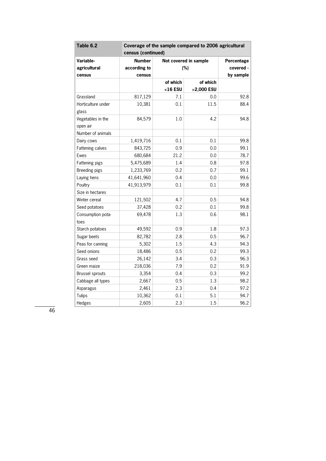| Table 6.2                     | Coverage of the sample compared to 2006 agricultural |          |                       |            |  |  |  |  |  |
|-------------------------------|------------------------------------------------------|----------|-----------------------|------------|--|--|--|--|--|
|                               | census (continued)                                   |          |                       |            |  |  |  |  |  |
| Variable-                     | <b>Number</b>                                        |          | Not covered in sample | Percentage |  |  |  |  |  |
| agricultural                  | according to                                         |          | (%)                   | covered -  |  |  |  |  |  |
| census                        | census                                               |          |                       | by sample  |  |  |  |  |  |
|                               |                                                      | of which | of which              |            |  |  |  |  |  |
|                               |                                                      | <16 ESU  | >2,000 ESU            |            |  |  |  |  |  |
| Grassland                     | 817,129                                              | 7.1      | 0.0                   | 92.8       |  |  |  |  |  |
| Horticulture under<br>glass   | 10,381                                               | 0.1      | 11.5                  | 88.4       |  |  |  |  |  |
| Vegetables in the<br>open air | 84,579                                               | 1.0      | 4.2                   | 94.8       |  |  |  |  |  |
| Number of animals             |                                                      |          |                       |            |  |  |  |  |  |
| Dairy cows                    | 1,419,716                                            | 0.1      | 0.1                   | 99.8       |  |  |  |  |  |
| Fattening calves              | 843,725                                              | 0.9      | 0.0                   | 99.1       |  |  |  |  |  |
| Ewes                          | 680,684                                              | 21.2     | 0.0                   | 78.7       |  |  |  |  |  |
| Fattening pigs                | 5,475,689                                            | 1.4      | 0.8                   | 97.8       |  |  |  |  |  |
| Breeding pigs                 | 1,233,769                                            | 0.2      | 0.7                   | 99.1       |  |  |  |  |  |
| Laying hens                   | 41,641,960                                           | 0.4      | 0.0                   | 99.6       |  |  |  |  |  |
| Poultry                       | 41,913,979                                           | 0.1      | 0.1                   | 99.8       |  |  |  |  |  |
| Size in hectares              |                                                      |          |                       |            |  |  |  |  |  |
| Winter cereal                 | 121,502                                              | 4.7      | 0.5                   | 94.8       |  |  |  |  |  |
| Seed potatoes                 | 37,428                                               | 0.2      | 0.1                   | 99.8       |  |  |  |  |  |
| Consumption pota-<br>toes     | 69,478                                               | 1.3      | 0.6                   | 98.1       |  |  |  |  |  |
| Starch potatoes               | 49,592                                               | 0.9      | 1.8                   | 97.3       |  |  |  |  |  |
| Sugar beets                   | 82,782                                               | 2.8      | 0.5                   | 96.7       |  |  |  |  |  |
| Peas for canning              | 5,302                                                | 1.5      | 4.3                   | 94.3       |  |  |  |  |  |
| Seed onions                   | 18,486                                               | 0.5      | 0.2                   | 99.3       |  |  |  |  |  |
| Grass seed                    | 26,142                                               | 3.4      | 0.3                   | 96.3       |  |  |  |  |  |
| Green maize                   | 218,036                                              | 7.9      | 0.2                   | 91.9       |  |  |  |  |  |
| Brussel sprouts               | 3,354                                                | 0.4      | 0.3                   | 99.2       |  |  |  |  |  |
| Cabbage all types             | 2,667                                                | 0.5      | 1.3                   | 98.2       |  |  |  |  |  |
| Asparagus                     | 2,461                                                | 2.3      | 0.4                   | 97.2       |  |  |  |  |  |
| Tulips                        | 10,362                                               | 0.1      | 5.1                   | 94.7       |  |  |  |  |  |
| Hedges                        | 2,605                                                | 2.3      | 1.5                   | 96.2       |  |  |  |  |  |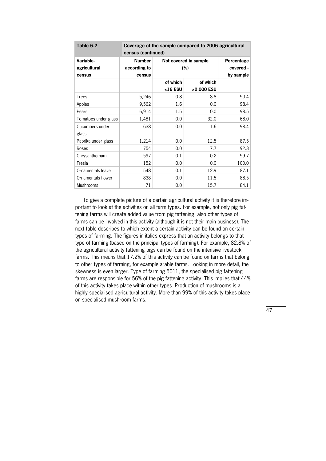| Table 6.2            |                    | Coverage of the sample compared to 2006 agricultural |                       |            |  |  |  |  |  |  |
|----------------------|--------------------|------------------------------------------------------|-----------------------|------------|--|--|--|--|--|--|
|                      | census (continued) |                                                      |                       |            |  |  |  |  |  |  |
| Variable-            | <b>Number</b>      |                                                      | Not covered in sample | Percentage |  |  |  |  |  |  |
| agricultural         | according to       |                                                      | (%)                   | covered -  |  |  |  |  |  |  |
| census               | census             |                                                      |                       | by sample  |  |  |  |  |  |  |
|                      |                    | of which                                             | of which              |            |  |  |  |  |  |  |
|                      |                    | $16$ ESU                                             | >2,000 ESU            |            |  |  |  |  |  |  |
| <b>Trees</b>         | 5,246              | 0.8                                                  | 8.8                   | 90.4       |  |  |  |  |  |  |
| Apples               | 9,562              | 1.6                                                  | 0.0                   | 98.4       |  |  |  |  |  |  |
| Pears                | 6,914              | 1.5                                                  | 0.0                   | 98.5       |  |  |  |  |  |  |
| Tomatoes under glass | 1,481              | 0.0                                                  | 32.0                  | 68.0       |  |  |  |  |  |  |
| Cucumbers under      | 638                | 0.0                                                  | 1.6                   | 98.4       |  |  |  |  |  |  |
| glass                |                    |                                                      |                       |            |  |  |  |  |  |  |
| Paprika under glass  | 1,214              | 0.0                                                  | 12.5                  | 87.5       |  |  |  |  |  |  |
| Roses                | 754                | 0.0                                                  | 7.7                   | 92.3       |  |  |  |  |  |  |
| Chrysanthemum        | 597                | 0.1                                                  | 0.2                   | 99.7       |  |  |  |  |  |  |
| Fresia               | 152                | 0.0                                                  | 0.0                   | 100.0      |  |  |  |  |  |  |
| Ornamentals leave    | 548                | 0.1                                                  | 12.9                  | 87.1       |  |  |  |  |  |  |
| Ornamentals flower   | 838                | 0.0                                                  | 11.5                  | 88.5       |  |  |  |  |  |  |
| <b>Mushrooms</b>     | 71                 | 0.0                                                  | 15.7                  | 84.1       |  |  |  |  |  |  |

 To give a complete picture of a certain agricultural activity it is therefore im\* portant to look at the activities on all farm types. For example, not only pig fattening farms will create added value from pig fattening, also other types of farms can be involved in this activity (although it is not their main business). The next table describes to which extent a certain activity can be found on certain types of farming. The figures in italics express that an activity belongs to that type of farming (based on the principal types of farming). For example, 82.8% of the agricultural activity fattening pigs can be found on the intensive livestock farms. This means that 17.2% of this activity can be found on farms that belong to other types of farming, for example arable farms. Looking in more detail, the skewness is even larger. Type of farming 5011, the specialised pig fattening farms are responsible for 56% of the pig fattening activity. This implies that 44% of this activity takes place within other types. Production of mushrooms is a highly specialised agricultural activity. More than 99% of this activity takes place on specialised mushroom farms.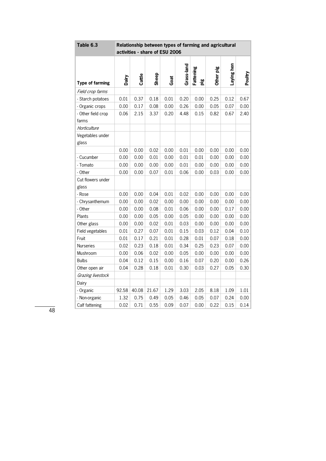| Table 6.3                   |       | Relationship between types of farming and agricultural<br>activities - share of ESU 2006 |       |      |            |                  |           |            |         |  |  |
|-----------------------------|-------|------------------------------------------------------------------------------------------|-------|------|------------|------------------|-----------|------------|---------|--|--|
| <b>Type of farming</b>      | Dairy | Cattle                                                                                   | Sheep | Goat | Grass-land | Fattening<br>pig | Other pig | Laying hen | Poultry |  |  |
| Field crop farms            |       |                                                                                          |       |      |            |                  |           |            |         |  |  |
| - Starch potatoes           | 0.01  | 0.37                                                                                     | 0.18  | 0.01 | 0.20       | 0.00             | 0.25      | 0.12       | 0.67    |  |  |
| - Organic crops             | 0.00  | 0.17                                                                                     | 0.08  | 0.00 | 0.26       | 0.00             | 0.05      | 0.07       | 0.00    |  |  |
| - Other field crop<br>farms | 0.06  | 2.15                                                                                     | 3.37  | 0.20 | 4.48       | 0.15             | 0.82      | 0.67       | 2.40    |  |  |
| Horticulture                |       |                                                                                          |       |      |            |                  |           |            |         |  |  |
| Vegetables under<br>glass   |       |                                                                                          |       |      |            |                  |           |            |         |  |  |
|                             | 0.00  | 0.00                                                                                     | 0.02  | 0.00 | 0.01       | 0.00             | 0.00      | 0.00       | 0.00    |  |  |
| - Cucumber                  | 0.00  | 0.00                                                                                     | 0.01  | 0.00 | 0.01       | 0.01             | 0.00      | 0.00       | 0.00    |  |  |
| - Tomato                    | 0.00  | 0.00                                                                                     | 0.00  | 0.00 | 0.01       | 0.00             | 0.00      | 0.00       | 0.00    |  |  |
| - Other                     | 0.00  | 0.00                                                                                     | 0.07  | 0.01 | 0.06       | 0.00             | 0.03      | 0.00       | 0.00    |  |  |
| Cut flowers under<br>glass  |       |                                                                                          |       |      |            |                  |           |            |         |  |  |
| - Rose                      | 0.00  | 0.00                                                                                     | 0.04  | 0.01 | 0.02       | 0.00             | 0.00      | 0.00       | 0.00    |  |  |
| - Chrysanthemum             | 0.00  | 0.00                                                                                     | 0.02  | 0.00 | 0.00       | 0.00             | 0.00      | 0.00       | 0.00    |  |  |
| - Other                     | 0.00  | 0.00                                                                                     | 0.08  | 0.01 | 0.06       | 0.00             | 0.00      | 0.17       | 0.00    |  |  |
| Plants                      | 0.00  | 0.00                                                                                     | 0.05  | 0.00 | 0.05       | 0.00             | 0.00      | 0.00       | 0.00    |  |  |
| Other glass                 | 0.00  | 0.00                                                                                     | 0.02  | 0.01 | 0.03       | 0.00             | 0.00      | 0.00       | 0.00    |  |  |
| Field vegetables            | 0.01  | 0.27                                                                                     | 0.07  | 0.01 | 0.15       | 0.03             | 0.12      | 0.04       | 0.10    |  |  |
| Fruit                       | 0.01  | 0.17                                                                                     | 0.21  | 0.01 | 0.28       | 0.01             | 0.07      | 0.18       | 0.00    |  |  |
| <b>Nurseries</b>            | 0.02  | 0.23                                                                                     | 0.18  | 0.01 | 0.34       | 0.25             | 0.23      | 0.07       | 0.00    |  |  |
| Mushroom                    | 0.00  | 0.06                                                                                     | 0.02  | 0.00 | 0.05       | 0.00             | 0.00      | 0.00       | 0.00    |  |  |
| <b>Bulbs</b>                | 0.04  | 0.12                                                                                     | 0.15  | 0.00 | 0.16       | 0.07             | 0.20      | 0.00       | 0.26    |  |  |
| Other open air              | 0.04  | 0.28                                                                                     | 0.18  | 0.01 | 0.30       | 0.03             | 0.27      | 0.05       | 0.30    |  |  |
| Grazing livestock           |       |                                                                                          |       |      |            |                  |           |            |         |  |  |
| Dairy                       |       |                                                                                          |       |      |            |                  |           |            |         |  |  |
| - Organic                   | 92.58 | 40.08                                                                                    | 21.67 | 1.29 | 3.03       | 2.05             | 8.18      | 1.09       | 1.01    |  |  |
| - Non-organic               | 1.32  | 0.75                                                                                     | 0.49  | 0.05 | 0.46       | 0.05             | 0.07      | 0.24       | 0.00    |  |  |
| Calf fattening              | 0.02  | 0.71                                                                                     | 0.55  | 0.09 | 0.07       | 0.00             | 0.22      | 0.15       | 0.14    |  |  |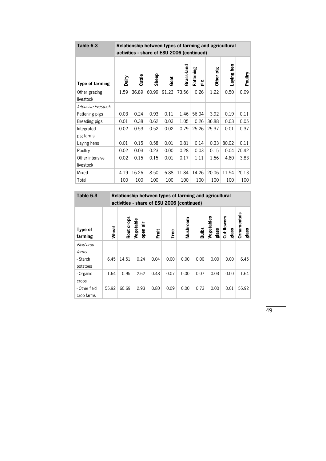| Table 6.3               |       | Relationship between types of farming and agricultural |       |       |            |                       |                  |               |         |  |
|-------------------------|-------|--------------------------------------------------------|-------|-------|------------|-----------------------|------------------|---------------|---------|--|
|                         |       | activities - share of ESU 2006 (continued)             |       |       |            |                       |                  |               |         |  |
| Type of farming         | Dairy | Cattle                                                 | Sheep | Goat  | Grass-land | Fattening<br>ە.<br>قا | ە.<br>ق<br>Other | hen<br>Laying | Poultry |  |
| Other grazing           | 1.59  | 36.89                                                  | 60.99 | 91.23 | 73.56      | 0.26                  | 1.22             | 0.50          | 0.09    |  |
| livestock               |       |                                                        |       |       |            |                       |                  |               |         |  |
| Intensive livestock     |       |                                                        |       |       |            |                       |                  |               |         |  |
| Fattening pigs          | 0.03  | 0.24                                                   | 0.93  | 0.11  | 1.46       | 56.04                 | 3.92             | 0.19          | 0.11    |  |
| Breeding pigs           | 0.01  | 0.38                                                   | 0.62  | 0.03  | 1.05       | 0.26                  | 36.88            | 0.03          | 0.05    |  |
| Integrated<br>pig farms | 0.02  | 0.53                                                   | 0.52  | 0.02  | 0.79       | 25.26                 | 25.37            | 0.01          | 0.37    |  |
| Laying hens             | 0.01  | 0.15                                                   | 0.58  | 0.01  | 0.81       | 0.14                  | 0.33             | 80.02         | 0.11    |  |
| Poultry                 | 0.02  | 0.03                                                   | 0.23  | 0.00  | 0.28       | 0.03                  | 0.15             | 0.04          | 70.42   |  |
| Other intensive         | 0.02  | 0.15                                                   | 0.15  | 0.01  | 0.17       | 1.11                  | 1.56             | 4.80          | 3.83    |  |
| livestock               |       |                                                        |       |       |            |                       |                  |               |         |  |
| Mixed                   | 4.19  | 16.26                                                  | 8.50  | 6.88  | 11.84      | 14.26                 | 20.06            | 11.54         | 20.13   |  |
| Total                   | 100   | 100                                                    | 100   | 100   | 100        | 100                   | 100              | 100           | 100     |  |

| Table 6.3                   |       | Relationship between types of farming and agricultural<br>activities - share of ESU 2006 (continued) |                        |      |      |          |              |                     |                      |                             |
|-----------------------------|-------|------------------------------------------------------------------------------------------------------|------------------------|------|------|----------|--------------|---------------------|----------------------|-----------------------------|
| Type of<br>farming          | Wheat | Root crops                                                                                           | Vegetable<br>÷<br>open | Ĕ    | Tree | Mushroom | <b>Bulbs</b> | Vegetables<br>glass | Cut flowers<br>glass | <b>Ornamentals</b><br>glass |
| Field crop<br>farms         |       |                                                                                                      |                        |      |      |          |              |                     |                      |                             |
| - Starch<br>potatoes        | 6.45  | 14.51                                                                                                | 0.24                   | 0.04 | 0.00 | 0.00     | 0.00         | 0.00                | 0.00                 | 6.45                        |
| - Organic<br>crops          | 1.64  | 0.95                                                                                                 | 2.62                   | 0.48 | 0.07 | 0.00     | 0.07         | 0.03                | 0.00                 | 1.64                        |
| - Other field<br>crop farms | 55.92 | 60.69                                                                                                | 2.93                   | 0.80 | 0.09 | 0.00     | 0.73         | 0.00                | 0.01                 | 55.92                       |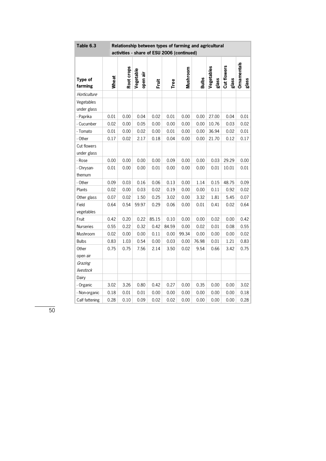| Table 6.3                  | Relationship between types of farming and agricultural |            |                       |              |       |                                            |       |                     |                      |                             |
|----------------------------|--------------------------------------------------------|------------|-----------------------|--------------|-------|--------------------------------------------|-------|---------------------|----------------------|-----------------------------|
|                            |                                                        |            |                       |              |       | activities - share of ESU 2006 (continued) |       |                     |                      |                             |
| Type of<br>farming         | Wheat                                                  | Root crops | Vegetable<br>open air | <b>Fruit</b> | Tree  | Mushroom                                   |       | Vegetables<br>glass | Cut flowers<br>glass | <b>Ornamentals</b><br>glass |
| Horticulture               |                                                        |            |                       |              |       |                                            |       |                     |                      |                             |
| Vegetables<br>under glass  |                                                        |            |                       |              |       |                                            |       |                     |                      |                             |
| - Paprika                  | 0.01                                                   | 0.00       | 0.04                  | 0.02         | 0.01  | 0.00                                       | 0.00  | 27.00               | 0.04                 | 0.01                        |
| - Cucumber                 | 0.02                                                   | 0.00       | 0.05                  | 0.00         | 0.00  | 0.00                                       | 0.00  | 10.76               | 0.03                 | 0.02                        |
| - Tomato                   | 0.01                                                   | 0.00       | 0.02                  | 0.00         | 0.01  | 0.00                                       | 0.00  | 36.94               | 0.02                 | 0.01                        |
| - Other                    | 0.17                                                   | 0.02       | 2.17                  | 0.18         | 0.04  | 0.00                                       | 0.00  | 21.70               | 0.12                 | 0.17                        |
| Cut flowers<br>under glass |                                                        |            |                       |              |       |                                            |       |                     |                      |                             |
| - Rose                     | 0.00                                                   | 0.00       | 0.00                  | 0.00         | 0.09  | 0.00                                       | 0.00  | 0.03                | 29.29                | 0.00                        |
| - Chrysan-<br>themum       | 0.01                                                   | 0.00       | 0.00                  | 0.01         | 0.00  | 0.00                                       | 0.00  | 0.01                | 10.01                | 0.01                        |
| - Other                    | 0.09                                                   | 0.03       | 0.16                  | 0.06         | 0.13  | 0.00                                       | 1.14  | 0.15                | 48.75                | 0.09                        |
| Plants                     | 0.02                                                   | 0.00       | 0.03                  | 0.02         | 0.19  | 0.00                                       | 0.00  | 0.11                | 0.92                 | 0.02                        |
| Other glass                | 0.07                                                   | 0.02       | 1.50                  | 0.25         | 3.02  | 0.00                                       | 3.32  | 1.81                | 5.45                 | 0.07                        |
| Field<br>vegetables        | 0.64                                                   | 0.54       | 59.97                 | 0.29         | 0.06  | 0.00                                       | 0.01  | 0.41                | 0.02                 | 0.64                        |
| Fruit                      | 0.42                                                   | 0.20       | 0.22                  | 85.15        | 0.10  | 0.00                                       | 0.00  | 0.02                | 0.00                 | 0.42                        |
| <b>Nurseries</b>           | 0.55                                                   | 0.22       | 0.32                  | 0.42         | 84.59 | 0.00                                       | 0.02  | 0.01                | 0.08                 | 0.55                        |
| Mushroom                   | 0.02                                                   | 0.00       | 0.00                  | 0.11         | 0.00  | 99.34                                      | 0.00  | 0.00                | 0.00                 | 0.02                        |
| <b>Bulbs</b>               | 0.83                                                   | 1.03       | 0.54                  | 0.00         | 0.03  | 0.00                                       | 76.98 | 0.01                | 1.21                 | 0.83                        |
| Other                      | 0.75                                                   | 0.75       | 7.56                  | 2.14         | 3.50  | 0.02                                       | 9.54  | 0.66                | 3.42                 | 0.75                        |
| open air                   |                                                        |            |                       |              |       |                                            |       |                     |                      |                             |
| Grazing<br>livestock       |                                                        |            |                       |              |       |                                            |       |                     |                      |                             |
| Dairy                      |                                                        |            |                       |              |       |                                            |       |                     |                      |                             |
| - Organic                  | 3.02                                                   | 3.26       | 0.80                  | 0.42         | 0.27  | 0.00                                       | 0.35  | 0.00                | 0.00                 | 3.02                        |
| - Non-organic              | 0.18                                                   | 0.01       | 0.01                  | 0.00         | 0.00  | 0.00                                       | 0.00  | 0.00                | 0.00                 | 0.18                        |
| Calf fattening             | 0.28                                                   | 0.10       | 0.09                  | 0.02         | 0.02  | 0.00                                       | 0.00  | 0.00                | 0.00                 | 0.28                        |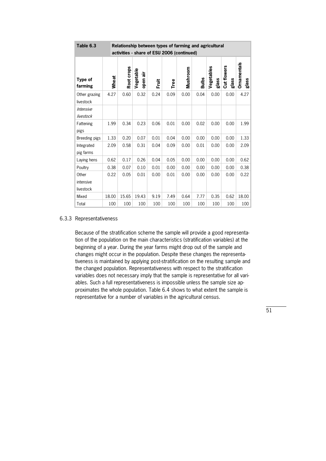| Table 6.3                            |       | Relationship between types of farming and agricultural |                       |      |      |          |              |                     |                      |                      |  |  |
|--------------------------------------|-------|--------------------------------------------------------|-----------------------|------|------|----------|--------------|---------------------|----------------------|----------------------|--|--|
|                                      |       | activities - share of ESU 2006 (continued)             |                       |      |      |          |              |                     |                      |                      |  |  |
| Type of<br>farming                   | Wheat | Root crops                                             | Vegetable<br>open air | Ĕ    | Tree | Mushroom | <b>Bulbs</b> | Vegetables<br>glass | Cut flowers<br>glass | Ornamentals<br>glass |  |  |
| Other grazing<br>livestock           | 4.27  | 0.60                                                   | 0.32                  | 0.24 | 0.09 | 0.00     | 0.04         | 0.00                | 0.00                 | 4.27                 |  |  |
| <i><b>Intensive</b></i><br>livestock |       |                                                        |                       |      |      |          |              |                     |                      |                      |  |  |
| Fattening<br>pigs                    | 1.99  | 0.34                                                   | 0.23                  | 0.06 | 0.01 | 0.00     | 0.02         | 0.00                | 0.00                 | 1.99                 |  |  |
| Breeding pigs                        | 1.33  | 0.20                                                   | 0.07                  | 0.01 | 0.04 | 0.00     | 0.00         | 0.00                | 0.00                 | 1.33                 |  |  |
| Integrated<br>pig farms              | 2.09  | 0.58                                                   | 0.31                  | 0.04 | 0.09 | 0.00     | 0.01         | 0.00                | 0.00                 | 2.09                 |  |  |
| Laying hens                          | 0.62  | 0.17                                                   | 0.26                  | 0.04 | 0.05 | 0.00     | 0.00         | 0.00                | 0.00                 | 0.62                 |  |  |
| Poultry                              | 0.38  | 0.07                                                   | 0.10                  | 0.01 | 0.00 | 0.00     | 0.00         | 0.00                | 0.00                 | 0.38                 |  |  |
| Other<br>intensive<br>livestock      | 0.22  | 0.05                                                   | 0.01                  | 0.00 | 0.01 | 0.00     | 0.00         | 0.00                | 0.00                 | 0.22                 |  |  |
| Mixed                                | 18.00 | 15.65                                                  | 19.43                 | 9.19 | 7.49 | 0.64     | 7.77         | 0.35                | 0.62                 | 18.00                |  |  |
| Total                                | 100   | 100                                                    | 100                   | 100  | 100  | 100      | 100          | 100                 | 100                  | 100                  |  |  |

#### 6.3.3 Representativeness

Because of the stratification scheme the sample will provide a good representation of the population on the main characteristics (stratification variables) at the beginning of a year. During the year farms might drop out of the sample and changes might occur in the population. Despite these changes the representativeness is maintained by applying post-stratification on the resulting sample and the changed population. Representativeness with respect to the stratification variables does not necessary imply that the sample is representative for all variables. Such a full representativeness is impossible unless the sample size approximates the whole population. Table 6.4 shows to what extent the sample is representative for a number of variables in the agricultural census.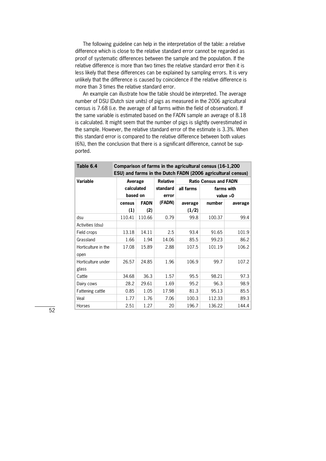The following guideline can help in the interpretation of the table: a relative difference which is close to the relative standard error cannot be regarded as proof of systematic differences between the sample and the population. If the relative difference is more than two times the relative standard error then it is less likely that these differences can be explained by sampling errors. It is very unlikely that the difference is caused by coincidence if the relative difference is more than 3 times the relative standard error.

 An example can illustrate how the table should be interpreted. The average number of DSU (Dutch size units) of pigs as measured in the 2006 agricultural census is 7.68 (i.e. the average of all farms within the field of observation). If the same variable is estimated based on the FADN sample an average of 8.18 is calculated. It might seem that the number of pigs is slightly overestimated in the sample. However, the relative standard error of the estimate is 3.3%. When this standard error is compared to the relative difference between both values (6%), then the conclusion that there is a significant difference, cannot be sup\* ported.

| Table 6.4                   | Comparison of farms in the agricultural census (16-1,200)<br>ESU) and farms in the Dutch FADN (2006 agricultural census) |             |                 |           |                              |            |  |  |  |
|-----------------------------|--------------------------------------------------------------------------------------------------------------------------|-------------|-----------------|-----------|------------------------------|------------|--|--|--|
| Variable                    | Average                                                                                                                  |             | <b>Relative</b> |           | <b>Ratio Census and FADN</b> |            |  |  |  |
|                             |                                                                                                                          | calculated  |                 | all farms |                              | farms with |  |  |  |
|                             | based on                                                                                                                 |             | error           |           |                              | value $>0$ |  |  |  |
|                             | census                                                                                                                   | <b>FADN</b> | (FADN)          | average   | number                       | average    |  |  |  |
|                             | (1)                                                                                                                      | (2)         |                 | (1/2)     |                              |            |  |  |  |
| dsu                         | 110.41                                                                                                                   | 110.66      | 0.79            | 99.8      | 100.37                       | 99.4       |  |  |  |
| Activities (dsu)            |                                                                                                                          |             |                 |           |                              |            |  |  |  |
| Field crops                 | 13.18                                                                                                                    | 14.11       | 2.5             | 93.4      | 91.65                        | 101.9      |  |  |  |
| Grassland                   | 1.66                                                                                                                     | 1.94        | 14.06           | 85.5      | 99.23                        | 86.2       |  |  |  |
| Horticulture in the<br>open | 17.08                                                                                                                    | 15.89       | 2.88            | 107.5     | 101.19                       | 106.2      |  |  |  |
| Horticulture under<br>glass | 26.57                                                                                                                    | 24.85       | 1.96            | 106.9     | 99.7                         | 107.2      |  |  |  |
| Cattle                      | 34.68                                                                                                                    | 36.3        | 1.57            | 95.5      | 98.21                        | 97.3       |  |  |  |
| Dairy cows                  | 28.2                                                                                                                     | 29.61       | 1.69            | 95.2      | 96.3                         | 98.9       |  |  |  |
| Fattening cattle            | 0.85                                                                                                                     | 1.05        | 17.98           | 81.3      | 95.13                        | 85.5       |  |  |  |
| Veal                        | 1.77                                                                                                                     | 1.76        | 7.06            | 100.3     | 112.33                       | 89.3       |  |  |  |
| Horses                      | 2.51                                                                                                                     | 1.27        | 20              | 196.7     | 136.22                       | 144.4      |  |  |  |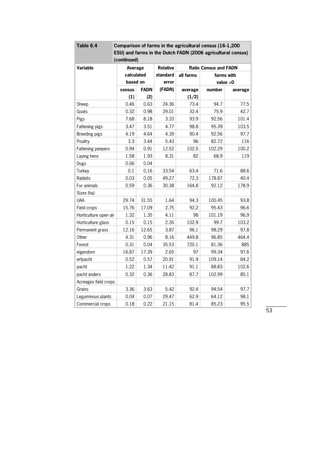| Table 6.4             |             |             |                 | Comparison of farms in the agricultural census (16-1,200    |                              |            |
|-----------------------|-------------|-------------|-----------------|-------------------------------------------------------------|------------------------------|------------|
|                       |             |             |                 | ESU) and farms in the Dutch FADN (2006 agricultural census) |                              |            |
|                       | (continued) |             |                 |                                                             |                              |            |
| Variable              | Average     |             | <b>Relative</b> |                                                             | <b>Ratio Census and FADN</b> |            |
|                       | calculated  |             | standard        | all farms                                                   |                              | farms with |
|                       | based on    |             | error           |                                                             |                              | value $>0$ |
|                       | census      | <b>FADN</b> | (FADN)          | average                                                     | number                       | average    |
|                       | (1)         | (2)         |                 | (1/2)                                                       |                              |            |
| Sheep                 | 0.46        | 0.63        | 24.36           | 73.4                                                        | 94.7                         | 77.5       |
| Goats                 | 0.32        | 0.98        | 29.01           | 32.4                                                        | 75.9                         | 42.7       |
| Pigs                  | 7.68        | 8.18        | 3.33            | 93.9                                                        | 92.56                        | 101.4      |
| Fattening pigs        | 3.47        | 3.51        | 4.77            | 98.8                                                        | 95.39                        | 103.5      |
| Breeding pigs         | 4.19        | 4.64        | 4.39            | 90.4                                                        | 92.56                        | 97.7       |
| Poultry               | 3.3         | 3.44        | 5.43            | 96                                                          | 82.72                        | 116        |
| Fattening peepers     | 0.94        | 0.91        | 12.52           | 102.5                                                       | 102.29                       | 100.2      |
| Laying hens           | 1.58        | 1.93        | 8.31            | 82                                                          | 68.9                         | 119        |
| Dugs                  | 0.06        | 0.04        |                 |                                                             |                              |            |
| Turkey                | 0.1         | 0.16        | 33.54           | 63.4                                                        | 71.6                         | 88.6       |
| <b>Rabbits</b>        | 0.03        | 0.05        | 49.27           | 72.3                                                        | 178.87                       | 40.4       |
| Fur animals           | 0.59        | 0.36        | 30.38           | 164.8                                                       | 92.12                        | 178.9      |
| Sizes (ha)            |             |             |                 |                                                             |                              |            |
| <b>UAA</b>            | 29.74       | 31.55       | 1.64            | 94.3                                                        | 100.45                       | 93.8       |
| Field crops           | 15.76       | 17.09       | 2.75            | 92.2                                                        | 95.43                        | 96.6       |
| Horticulture open air | 1.32        | 1.35        | 4.11            | 98                                                          | 101.19                       | 96.9       |
| Horticulture glass    | 0.15        | 0.15        | 2.26            | 102.9                                                       | 99.7                         | 103.2      |
| Permanent grass       | 12.16       | 12.65       | 3.87            | 96.1                                                        | 98.29                        | 97.8       |
| Other                 | 4.31        | 0.96        | 8.16            | 449.8                                                       | 96.85                        | 464.4      |
| Forest                | 0.31        | 0.04        | 35.53           | 720.1                                                       | 81.36                        | 885        |
| eigendom              | 16.87       | 17.39       | 2.65            | 97                                                          | 99.34                        | 97.6       |
| erfpacht              | 0.52        | 0.57        | 20.91           | 91.9                                                        | 109.14                       | 84.2       |
| pacht                 | 1.22        | 1.34        | 11.42           | 91.1                                                        | 88.83                        | 102.6      |
| pacht anders          | 0.32        | 0.36        | 28.83           | 87.7                                                        | 102.99                       | 85.1       |
| Acreages field crops  |             |             |                 |                                                             |                              |            |
| Grains                | 3.36        | 3.63        | 5.42            | 92.4                                                        | 94.54                        | 97.7       |
| Leguminous plants     | 0.04        | 0.07        | 29.47           | 62.9                                                        | 64.12                        | 98.1       |
| Commercial crops      | 0.18        | 0.22        | 21.15           | 81.4                                                        | 85.23                        | 95.5       |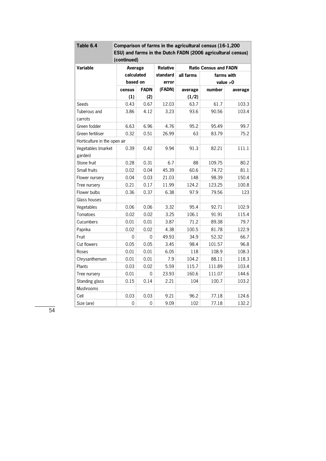| Table 6.4                    | Comparison of farms in the agricultural census (16-1,200    |             |                 |           |                              |            |  |  |  |
|------------------------------|-------------------------------------------------------------|-------------|-----------------|-----------|------------------------------|------------|--|--|--|
|                              | ESU) and farms in the Dutch FADN (2006 agricultural census) |             |                 |           |                              |            |  |  |  |
|                              | (continued)                                                 |             |                 |           |                              |            |  |  |  |
| Variable                     | Average                                                     |             | <b>Relative</b> |           | <b>Ratio Census and FADN</b> |            |  |  |  |
|                              |                                                             | calculated  |                 | all farms | farms with                   |            |  |  |  |
|                              | based on                                                    |             | error           |           |                              | value $>0$ |  |  |  |
|                              | census                                                      | <b>FADN</b> | (FADN)          | average   | number                       | average    |  |  |  |
|                              | (1)                                                         | (2)         |                 | (1/2)     |                              |            |  |  |  |
| Seeds                        | 0.43                                                        | 0.67        | 12.03           | 63.7      | 61.7                         | 103.3      |  |  |  |
| Tuberous and                 | 3.86                                                        | 4.12        | 3.23            | 93.6      | 90.56                        | 103.4      |  |  |  |
| carrots                      |                                                             |             |                 |           |                              |            |  |  |  |
| Green fodder                 | 6.63                                                        | 6.96        | 4.76            | 95.2      | 95.49                        | 99.7       |  |  |  |
| Green fertiliser             | 0.32                                                        | 0.51        | 26.99           | 63        | 83.79                        | 75.2       |  |  |  |
| Horticulture in the open air |                                                             |             |                 |           |                              |            |  |  |  |
| Vegetables (market           | 0.39                                                        | 0.42        | 9.94            | 91.3      | 82.21                        | 111.1      |  |  |  |
| garden)                      |                                                             |             |                 |           |                              |            |  |  |  |
| Stone fruit                  | 0.28                                                        | 0.31        | 6.7             | 88        | 109.75                       | 80.2       |  |  |  |
| Small fruits                 | 0.02                                                        | 0.04        | 45.39           | 60.6      | 74.72                        | 81.1       |  |  |  |
| Flower nursery               | 0.04                                                        | 0.03        | 21.03           | 148       | 98.39                        | 150.4      |  |  |  |
| Tree nursery                 | 0.21                                                        | 0.17        | 11.99           | 124.2     | 123.25                       | 100.8      |  |  |  |
| Flower bulbs                 | 0.36                                                        | 0.37        | 6.38            | 97.9      | 79.56                        | 123        |  |  |  |
| Glass houses                 |                                                             |             |                 |           |                              |            |  |  |  |
| Vegetables                   | 0.06                                                        | 0.06        | 3.32            | 95.4      | 92.71                        | 102.9      |  |  |  |
| Tomatoes                     | 0.02                                                        | 0.02        | 3.25            | 106.1     | 91.91                        | 115.4      |  |  |  |
| Cucumbers                    | 0.01                                                        | 0.01        | 3.87            | 71.2      | 89.38                        | 79.7       |  |  |  |
| Paprika                      | 0.02                                                        | 0.02        | 4.38            | 100.5     | 81.78                        | 122.9      |  |  |  |
| Fruit                        | 0                                                           | 0           | 49.93           | 34.9      | 52.32                        | 66.7       |  |  |  |
| Cut flowers                  | 0.05                                                        | 0.05        | 3.45            | 98.4      | 101.57                       | 96.8       |  |  |  |
| Roses                        | 0.01                                                        | 0.01        | 6.05            | 118       | 108.9                        | 108.3      |  |  |  |
| Chrysanthemum                | 0.01                                                        | 0.01        | 7.9             | 104.2     | 88.11                        | 118.3      |  |  |  |
| Plants                       | 0.03                                                        | 0.02        | 5.59            | 115.7     | 111.89                       | 103.4      |  |  |  |
| Tree nursery                 | 0.01                                                        | 0           | 23.93           | 160.6     | 111.07                       | 144.6      |  |  |  |
| Standing glass               | 0.15                                                        | 0.14        | 2.21            | 104       | 100.7                        | 103.2      |  |  |  |
| Mushrooms                    |                                                             |             |                 |           |                              |            |  |  |  |
| Cell                         | 0.03                                                        | 0.03        | 9.21            | 96.2      | 77.18                        | 124.6      |  |  |  |
| Size (are)                   | $\boldsymbol{0}$                                            | 0           | 9.09            | 102       | 77.18                        | 132.2      |  |  |  |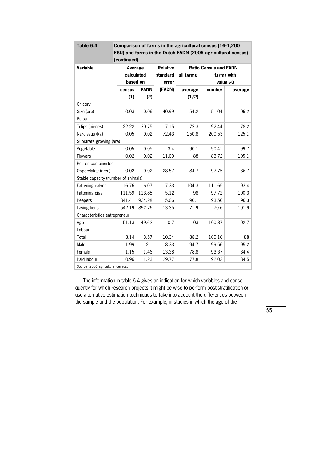| Table 6.4                           |             |             |        | Comparison of farms in the agricultural census (16-1,200    |            |         |  |
|-------------------------------------|-------------|-------------|--------|-------------------------------------------------------------|------------|---------|--|
|                                     |             |             |        | ESU) and farms in the Dutch FADN (2006 agricultural census) |            |         |  |
|                                     | (continued) |             |        |                                                             |            |         |  |
| Variable                            |             | Average     |        | <b>Ratio Census and FADN</b>                                |            |         |  |
|                                     |             | calculated  |        | all farms                                                   | farms with |         |  |
|                                     |             | based on    |        |                                                             | value $>0$ |         |  |
|                                     | census      | <b>FADN</b> | (FADN) | average                                                     | number     | average |  |
|                                     | (1)         | (2)         |        | (1/2)                                                       |            |         |  |
| Chicory                             |             |             |        |                                                             |            |         |  |
| Size (are)                          | 0.03        | 0.06        | 40.99  | 54.2                                                        | 51.04      | 106.2   |  |
| <b>Bulbs</b>                        |             |             |        |                                                             |            |         |  |
| Tulips (pieces)                     | 22.22       | 30.75       | 17.15  | 72.3                                                        | 92.44      | 78.2    |  |
| Narcissus (kg)                      | 0.05        | 0.02        | 72.43  | 250.8                                                       | 200.53     | 125.1   |  |
| Substrate growing (are)             |             |             |        |                                                             |            |         |  |
| Vegetable                           | 0.05        | 0.05        | 3.4    | 90.1                                                        | 90.41      | 99.7    |  |
| <b>Flowers</b>                      | 0.02        | 0.02        | 11.09  | 88                                                          | 83.72      | 105.1   |  |
| Pot- en containerteelt              |             |             |        |                                                             |            |         |  |
| Oppervlakte (aren)                  | 0.02        | 0.02        | 28.57  | 84.7                                                        | 97.75      | 86.7    |  |
| Stable capacity (number of animals) |             |             |        |                                                             |            |         |  |
| Fattening calves                    | 16.76       | 16.07       | 7.33   | 104.3                                                       | 111.65     | 93.4    |  |
| Fattening pigs                      | 111.59      | 113.85      | 5.12   | 98                                                          | 97.72      | 100.3   |  |
| Peepers                             | 841.41      | 934.28      | 15.06  | 90.1                                                        | 93.56      | 96.3    |  |
| Laying hens                         | 642.19      | 892.76      | 13.35  | 71.9                                                        | 70.6       | 101.9   |  |
| Characteristics entrepreneur        |             |             |        |                                                             |            |         |  |
| Age                                 | 51.13       | 49.62       | 0.7    | 103                                                         | 100.37     | 102.7   |  |
| Labour                              |             |             |        |                                                             |            |         |  |
| Total                               | 3.14        | 3.57        | 10.34  | 88.2                                                        | 100.16     | 88      |  |
| Male                                | 1.99        | 2.1         | 8.33   | 94.7                                                        | 99.56      | 95.2    |  |
| Female                              | 1.15        | 1.46        | 13.38  | 78.8                                                        | 93.37      | 84.4    |  |
| Paid labour                         | 0.96        | 1.23        | 29.77  | 77.8                                                        | 92.02      | 84.5    |  |
| Source: 2006 agricultural census.   |             |             |        |                                                             |            |         |  |

The information in table 6.4 gives an indication for which variables and consequently for which research projects it might be wise to perform post-stratification or use alternative estimation techniques to take into account the differences between the sample and the population. For example, in studies in which the age of the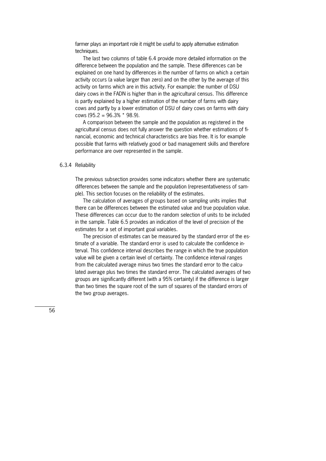farmer plays an important role it might be useful to apply alternative estimation techniques.

 The last two columns of table 6.4 provide more detailed information on the difference between the population and the sample. These differences can be explained on one hand by differences in the number of farms on which a certain activity occurs (a value larger than zero) and on the other by the average of this activity on farms which are in this activity. For example: the number of DSU dairy cows in the FADN is higher than in the agricultural census. This difference is partly explained by a higher estimation of the number of farms with dairy cows and partly by a lower estimation of DSU of dairy cows on farms with dairy cows (95.2 = 96.3%  $*$  98.9).

 A comparison between the sample and the population as registered in the agricultural census does not fully answer the question whether estimations of financial, economic and technical characteristics are bias free. It is for example possible that farms with relatively good or bad management skills and therefore performance are over represented in the sample.

#### 6.3.4 Reliability

The previous subsection provides some indicators whether there are systematic differences between the sample and the population (representativeness of sam\* ple). This section focuses on the reliability of the estimates.

 The calculation of averages of groups based on sampling units implies that there can be differences between the estimated value and true population value. These differences can occur due to the random selection of units to be included in the sample. Table 6.5 provides an indication of the level of precision of the estimates for a set of important goal variables.

The precision of estimates can be measured by the standard error of the estimate of a variable. The standard error is used to calculate the confidence interval. This confidence interval describes the range in which the true population value will be given a certain level of certainty. The confidence interval ranges from the calculated average minus two times the standard error to the calculated average plus two times the standard error. The calculated averages of two groups are significantly different (with a 95% certainty) if the difference is larger than two times the square root of the sum of squares of the standard errors of the two group averages.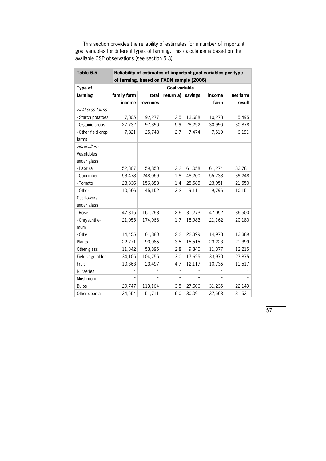| Table 6.5                   | Reliability of estimates of important goal variables per type |          |           |         |         |          |  |  |  |  |
|-----------------------------|---------------------------------------------------------------|----------|-----------|---------|---------|----------|--|--|--|--|
|                             | of farming, based on FADN sample (2006)                       |          |           |         |         |          |  |  |  |  |
| Type of                     | <b>Goal variable</b>                                          |          |           |         |         |          |  |  |  |  |
| farming                     | family farm                                                   | total    | return a) | savings | income  | net farm |  |  |  |  |
|                             | income                                                        | revenues |           |         | farm    | result   |  |  |  |  |
| Field crop farms            |                                                               |          |           |         |         |          |  |  |  |  |
| - Starch potatoes           | 7,305                                                         | 92,277   | 2.5       | 13,688  | 10,273  | 5,495    |  |  |  |  |
| - Organic crops             | 27,732                                                        | 97,390   | 5.9       | 28,292  | 30,990  | 30,878   |  |  |  |  |
| - Other field crop<br>farms | 7,821                                                         | 25,748   | 2.7       | 7,474   | 7,519   | 6,191    |  |  |  |  |
| Horticulture                |                                                               |          |           |         |         |          |  |  |  |  |
| Vegetables<br>under glass   |                                                               |          |           |         |         |          |  |  |  |  |
| - Paprika                   | 52,307                                                        | 59,850   | 2.2       | 61,058  | 61,274  | 33,781   |  |  |  |  |
| - Cucumber                  | 53,478                                                        | 248,069  | 1.8       | 48,200  | 55,738  | 39,248   |  |  |  |  |
| - Tomato                    | 23,336                                                        | 156,883  | 1.4       | 25,585  | 23,951  | 21,550   |  |  |  |  |
| - Other                     | 10,566                                                        | 45,152   | 3.2       | 9,111   | 9,796   | 10,151   |  |  |  |  |
| Cut flowers                 |                                                               |          |           |         |         |          |  |  |  |  |
| under glass                 |                                                               |          |           |         |         |          |  |  |  |  |
| - Rose                      | 47,315                                                        | 161,263  | 2.6       | 31,273  | 47,052  | 36,500   |  |  |  |  |
| - Chrysanthe-<br>mum        | 21,055                                                        | 174,968  | 1.7       | 18,983  | 21,162  | 20,180   |  |  |  |  |
| - Other                     | 14,455                                                        | 61,880   | 2.2       | 22,399  | 14,978  | 13,389   |  |  |  |  |
| Plants                      | 22,771                                                        | 93,086   | 3.5       | 15,515  | 23,223  | 21,399   |  |  |  |  |
| Other glass                 | 11,342                                                        | 53,895   | 2.8       | 9,840   | 11,377  | 12,215   |  |  |  |  |
| Field vegetables            | 34,105                                                        | 104,755  | 3.0       | 17,625  | 33,970  | 27,875   |  |  |  |  |
| Fruit                       | 10,363                                                        | 23,497   | 4.7       | 12,117  | 10,736  | 11,517   |  |  |  |  |
| <b>Nurseries</b>            |                                                               | *        | $\star$   |         |         |          |  |  |  |  |
| Mushroom                    | $\star$                                                       | $\star$  | $\star$   | $\star$ | $\star$ | $\star$  |  |  |  |  |
| <b>Bulbs</b>                | 29,747                                                        | 113,164  | 3.5       | 27,606  | 31,235  | 22,149   |  |  |  |  |
| Other open air              | 34,554                                                        | 51,711   | 6.0       | 30,091  | 37,563  | 31,531   |  |  |  |  |

 This section provides the reliability of estimates for a number of important goal variables for different types of farming. This calculation is based on the available CSP observations (see section 5.3).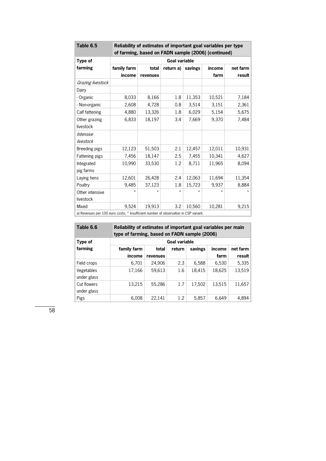| Table 6.5                                                                           | Reliability of estimates of important goal variables per type |          |           |         |         |          |  |  |  |
|-------------------------------------------------------------------------------------|---------------------------------------------------------------|----------|-----------|---------|---------|----------|--|--|--|
|                                                                                     | of farming, based on FADN sample (2006) (continued)           |          |           |         |         |          |  |  |  |
| Type of                                                                             | <b>Goal variable</b>                                          |          |           |         |         |          |  |  |  |
| farming                                                                             | family farm                                                   | total    | return a) | savings | income  | net farm |  |  |  |
|                                                                                     | income                                                        | revenues |           |         | farm    | result   |  |  |  |
| Grazing livestock                                                                   |                                                               |          |           |         |         |          |  |  |  |
| Dairy                                                                               |                                                               |          |           |         |         |          |  |  |  |
| - Organic                                                                           | 8,033                                                         | 8,166    | 1.8       | 11,353  | 10,521  | 7,184    |  |  |  |
| - Non-organic                                                                       | 2,608                                                         | 4,728    | 0.8       | 3,514   | 3,151   | 2,361    |  |  |  |
| Calf fattening                                                                      | 4,880                                                         | 13,326   | 1.8       | 6,029   | 5,154   | 5,675    |  |  |  |
| Other grazing                                                                       | 6,833                                                         | 18,197   | 3.4       | 7,669   | 9,370   | 7,484    |  |  |  |
| livestock                                                                           |                                                               |          |           |         |         |          |  |  |  |
| Intensive                                                                           |                                                               |          |           |         |         |          |  |  |  |
| livestock                                                                           |                                                               |          |           |         |         |          |  |  |  |
| Breeding pigs                                                                       | 12,123                                                        | 51,503   | 2.1       | 12,457  | 12,011  | 10,931   |  |  |  |
| Fattening pigs                                                                      | 7,456                                                         | 18,147   | 2.5       | 7,455   | 10,341  | 4,627    |  |  |  |
| Integrated                                                                          | 10,990                                                        | 33,530   | 1.2       | 8,711   | 11,965  | 8,094    |  |  |  |
| pig farms                                                                           |                                                               |          |           |         |         |          |  |  |  |
| Laying hens                                                                         | 12,601                                                        | 26,428   | 2.4       | 12,063  | 11,694  | 11,354   |  |  |  |
| Poultry                                                                             | 9.485                                                         | 37,123   | 1.8       | 15,723  | 9,937   | 8,884    |  |  |  |
| Other intensive                                                                     |                                                               |          | $\star$   |         | $\star$ |          |  |  |  |
| livestock                                                                           |                                                               |          |           |         |         |          |  |  |  |
| Mixed                                                                               | 9,524                                                         | 19,913   | 3.2       | 10,560  | 10,281  | 9,215    |  |  |  |
| a) Dougauge nou 100 ques soster * lesufficient number of shooppetion in CCD vorient |                                                               |          |           |         |         |          |  |  |  |

and the control of the control of

a) Revenues per 100 euro costs; \* Insufficient number of observation in CSP variant.

| Table 6.6 | Reliability of estimates of important goal variables per main |
|-----------|---------------------------------------------------------------|
|           | type of farming, based on FADN sample (2006)                  |

| Type of                    | Goal variable |          |        |         |        |          |  |  |
|----------------------------|---------------|----------|--------|---------|--------|----------|--|--|
| farming                    | family farm   | total    | return | savings | income | net farm |  |  |
|                            | income        | revenues |        |         | farm   | result   |  |  |
| Field crops                | 6,701         | 24,906   | 2.3    | 6,588   | 6,530  | 5,335    |  |  |
| Vegetables<br>under glass  | 17,166        | 59,613   | 1.6    | 18,415  | 18,625 | 13,519   |  |  |
| Cut flowers<br>under glass | 13,215        | 55,286   | 1.7    | 17,502  | 13,515 | 11,657   |  |  |
| Pigs                       | 6,008         | 22,141   | 1.2    | 5,857   | 6.649  | 4,894    |  |  |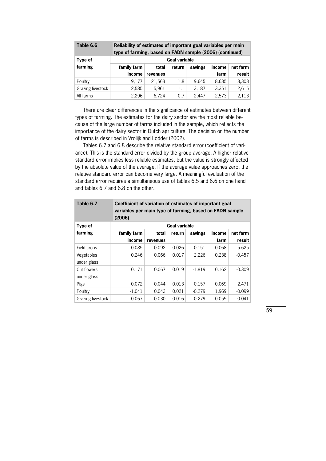| Table 6.6         | Reliability of estimates of important goal variables per main<br>type of farming, based on FADN sample (2006) (continued) |          |        |         |        |          |  |
|-------------------|---------------------------------------------------------------------------------------------------------------------------|----------|--------|---------|--------|----------|--|
| Type of           | <b>Goal variable</b>                                                                                                      |          |        |         |        |          |  |
| farming           | family farm                                                                                                               | total    | return | savings | income | net farm |  |
|                   | income                                                                                                                    | revenues |        |         | farm   | result   |  |
| Poultry           | 9.177                                                                                                                     | 21,563   | 1.8    | 9.645   | 8,635  | 8,303    |  |
| Grazing livestock | 2,585                                                                                                                     | 5,961    | 1.1    | 3,187   | 3,351  | 2,615    |  |
| All farms         | 2,296                                                                                                                     | 6.724    | 0.7    | 2.447   | 2,573  | 2,113    |  |

 There are clear differences in the significance of estimates between different types of farming. The estimates for the dairy sector are the most reliable because of the large number of farms included in the sample, which reflects the importance of the dairy sector in Dutch agriculture. The decision on the number of farms is described in Vrolijk and Lodder (2002).

Tables 6.7 and 6.8 describe the relative standard error (coefficient of variance). This is the standard error divided by the group average. A higher relative standard error implies less reliable estimates, but the value is strongly affected by the absolute value of the average. If the average value approaches zero, the relative standard error can become very large. A meaningful evaluation of the standard error requires a simultaneous use of tables 6.5 and 6.6 on one hand and tables 6.7 and 6.8 on the other.

| Table 6.7         | Coefficient of variation of estimates of important goal<br>variables per main type of farming, based on FADN sample<br>(2006) |          |                      |          |        |          |  |  |
|-------------------|-------------------------------------------------------------------------------------------------------------------------------|----------|----------------------|----------|--------|----------|--|--|
| Type of           |                                                                                                                               |          | <b>Goal variable</b> |          |        |          |  |  |
| farming           | family farm                                                                                                                   | total    | return               | savings  | income | net farm |  |  |
|                   | income                                                                                                                        | revenues |                      |          | farm   | result   |  |  |
| Field crops       | 0.085                                                                                                                         | 0.092    | 0.026                | 0.151    | 0.068  | $-5.625$ |  |  |
| Vegetables        | 0.246                                                                                                                         | 0.066    | 0.017                | 2.226    | 0.238  | $-0.457$ |  |  |
| under glass       |                                                                                                                               |          |                      |          |        |          |  |  |
| Cut flowers       | 0.171                                                                                                                         | 0.067    | 0.019                | $-1.819$ | 0.162  | $-0.309$ |  |  |
| under glass       |                                                                                                                               |          |                      |          |        |          |  |  |
| Pigs              | 0.072                                                                                                                         | 0.044    | 0.013                | 0.157    | 0.069  | 2.471    |  |  |
| Poultry           | $-1.041$                                                                                                                      | 0.043    | 0.021                | $-0.279$ | 1.969  | $-0.099$ |  |  |
| Grazing livestock | 0.067                                                                                                                         | 0.030    | 0.016                | 0.279    | 0.059  | $-0.041$ |  |  |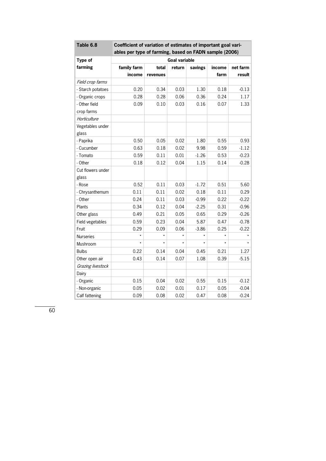| Table 6.8         | Coefficient of variation of estimates of important goal vari-<br>ables per type of farming, based on FADN sample (2006) |          |        |         |        |          |  |  |
|-------------------|-------------------------------------------------------------------------------------------------------------------------|----------|--------|---------|--------|----------|--|--|
|                   |                                                                                                                         |          |        |         |        |          |  |  |
| Type of           | <b>Goal variable</b>                                                                                                    |          |        |         |        |          |  |  |
| farming           | family farm                                                                                                             | total    | return | savings | income | net farm |  |  |
|                   | income                                                                                                                  | revenues |        |         | farm   | result   |  |  |
| Field crop farms  |                                                                                                                         |          |        |         |        |          |  |  |
| - Starch potatoes | 0.20                                                                                                                    | 0.34     | 0.03   | 1.30    | 0.18   | $-0.13$  |  |  |
| - Organic crops   | 0.28                                                                                                                    | 0.28     | 0.06   | 0.36    | 0.24   | 1.17     |  |  |
| - Other field     | 0.09                                                                                                                    | 0.10     | 0.03   | 0.16    | 0.07   | 1.33     |  |  |
| crop farms        |                                                                                                                         |          |        |         |        |          |  |  |
| Horticulture      |                                                                                                                         |          |        |         |        |          |  |  |
| Vegetables under  |                                                                                                                         |          |        |         |        |          |  |  |
| glass             |                                                                                                                         |          |        |         |        |          |  |  |
| - Paprika         | 0.50                                                                                                                    | 0.05     | 0.02   | 1.80    | 0.55   | 0.93     |  |  |
| - Cucumber        | 0.63                                                                                                                    | 0.18     | 0.02   | 9.98    | 0.59   | $-1.12$  |  |  |
| - Tomato          | 0.59                                                                                                                    | 0.11     | 0.01   | $-1.26$ | 0.53   | $-0.23$  |  |  |
| - Other           | 0.18                                                                                                                    | 0.12     | 0.04   | 1.15    | 0.14   | $-0.28$  |  |  |
| Cut flowers under |                                                                                                                         |          |        |         |        |          |  |  |
| glass             |                                                                                                                         |          |        |         |        |          |  |  |
| - Rose            | 0.52                                                                                                                    | 0.11     | 0.03   | $-1.72$ | 0.51   | 5.60     |  |  |
| - Chrysanthemum   | 0.11                                                                                                                    | 0.11     | 0.02   | 0.18    | 0.11   | 0.29     |  |  |
| - Other           | 0.24                                                                                                                    | 0.11     | 0.03   | $-0.99$ | 0.22   | $-0.22$  |  |  |
| Plants            | 0.34                                                                                                                    | 0.12     | 0.04   | $-2.25$ | 0.31   | $-0.96$  |  |  |
| Other glass       | 0.49                                                                                                                    | 0.21     | 0.05   | 0.65    | 0.29   | $-0.26$  |  |  |
| Field vegetables  | 0.59                                                                                                                    | 0.23     | 0.04   | 5.87    | 0.47   | $-0.78$  |  |  |
| Fruit             | 0.29                                                                                                                    | 0.09     | 0.06   | $-3.86$ | 0.25   | $-0.22$  |  |  |
| Nurseries         | $\star$                                                                                                                 | $\star$  |        | $\star$ |        |          |  |  |
| Mushroom          | $\star$                                                                                                                 | $\star$  |        | $\star$ |        |          |  |  |
| <b>Bulbs</b>      | 0.22                                                                                                                    | 0.14     | 0.04   | 0.45    | 0.21   | 1.27     |  |  |
| Other open air    | 0.43                                                                                                                    | 0.14     | 0.07   | 1.08    | 0.39   | $-5.15$  |  |  |
| Grazing livestock |                                                                                                                         |          |        |         |        |          |  |  |
| Dairy             |                                                                                                                         |          |        |         |        |          |  |  |
| - Organic         | 0.15                                                                                                                    | 0.04     | 0.02   | 0.55    | 0.15   | $-0.12$  |  |  |
| - Non-organic     | 0.05                                                                                                                    | 0.02     | 0.01   | 0.17    | 0.05   | $-0.04$  |  |  |
| Calf fattening    | 0.09                                                                                                                    | 0.08     | 0.02   | 0.47    | 0.08   | $-0.24$  |  |  |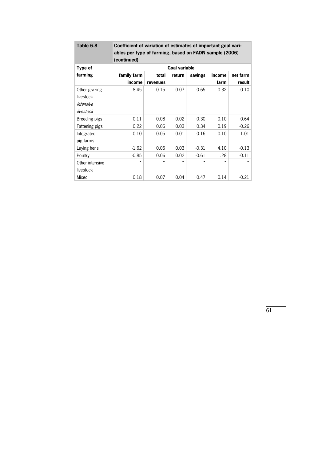| Table 6.8                  | Coefficient of variation of estimates of important goal vari-<br>ables per type of farming, based on FADN sample (2006)<br>(continued) |          |         |         |         |          |  |  |
|----------------------------|----------------------------------------------------------------------------------------------------------------------------------------|----------|---------|---------|---------|----------|--|--|
| Type of                    | <b>Goal variable</b>                                                                                                                   |          |         |         |         |          |  |  |
| farming                    | family farm                                                                                                                            | total    | return  | savings | income  | net farm |  |  |
|                            | income                                                                                                                                 | revenues |         |         | farm    | result   |  |  |
| Other grazing<br>livestock | 8.45                                                                                                                                   | 0.15     | 0.07    | $-0.65$ | 0.32    | $-0.10$  |  |  |
| Intensive                  |                                                                                                                                        |          |         |         |         |          |  |  |
| livestock                  |                                                                                                                                        |          |         |         |         |          |  |  |
| Breeding pigs              | 0.11                                                                                                                                   | 0.08     | 0.02    | 0.30    | 0.10    | 0.64     |  |  |
| Fattening pigs             | 0.22                                                                                                                                   | 0.06     | 0.03    | 0.34    | 0.19    | $-0.26$  |  |  |
| Integrated                 | 0.10                                                                                                                                   | 0.05     | 0.01    | 0.16    | 0.10    | 1.01     |  |  |
| pig farms                  |                                                                                                                                        |          |         |         |         |          |  |  |
| Laying hens                | $-1.62$                                                                                                                                | 0.06     | 0.03    | $-0.31$ | 4.10    | $-0.13$  |  |  |
| Poultry                    | $-0.85$                                                                                                                                | 0.06     | 0.02    | $-0.61$ | 1.28    | $-0.11$  |  |  |
| Other intensive            | $\star$                                                                                                                                | $\star$  | $\star$ | $\star$ | $\star$ | $\star$  |  |  |
| livestock                  |                                                                                                                                        |          |         |         |         |          |  |  |
| Mixed                      | 0.18                                                                                                                                   | 0.07     | 0.04    | 0.47    | 0.14    | $-0.21$  |  |  |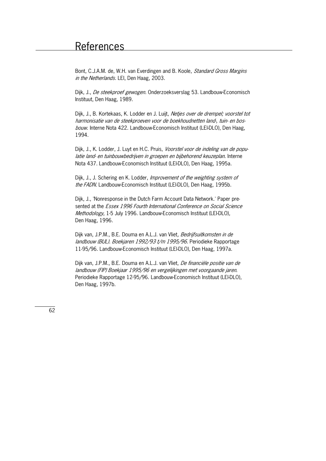Bont, C.J.A.M. de. W.H. van Everdingen and B. Koole, *Standard Gross Margins* in the Netherlands. LEI, Den Haag, 2003.

Dijk, J., De steekproef gewogen. Onderzoeksverslag 53. Landbouw-Economisch Instituut, Den Haag, 1989.

Dijk, J., B. Kortekaas, K. Lodder en J. Luijt, Netjes over de drempel; voorstel tot harmonisatie van de steekproeven voor de boekhoudnetten land-, tuin- en bosbouw. Interne Nota 422. Landbouw-Economisch Instituut (LEI-DLO), Den Haag, 1994.

Dijk, J., K. Lodder, J. Luyt en H.C. Pruis, Voorstel voor de indeling van de populatie land- en tuinbouwbedrijven in groepen en bijbehorend keuzeplan. Interne Nota 437. Landbouw-Economisch Instituut (LEI-DLO), Den Haag, 1995a.

Dijk, J., J. Schering en K. Lodder, *Improvement of the weighting system of* the FADN. Landbouw-Economisch Instituut (LEI-DLO), Den Haag, 1995b.

Dijk, J., 'Nonresponse in the Dutch Farm Account Data Network.' Paper presented at the Essex 1996 Fourth International Conference on Social Science Methodology, 1-5 July 1996. Landbouw-Economisch Instituut (LEI-DLO), Den Haag, 1996.

Dijk van, J.P.M., B.E. Douma en A.L.J. van Vliet, Bedrijfsuitkomsten in de landbouw (BUL). Boekjaren 1992/93 t/m 1995/96. Periodieke Rapportage 11-95/96. Landbouw-Economisch Instituut (LEI-DLO), Den Haag, 1997a.

Dijk van, J.P.M., B.E. Douma en A.L.J. van Vliet, De financiële positie van de landbouw (FIP) Boekjaar 1995/96 en vergelijkingen met voorgaande jaren. Periodieke Rapportage 12-95/96. Landbouw-Economisch Instituut (LEI-DLO), Den Haag, 1997b.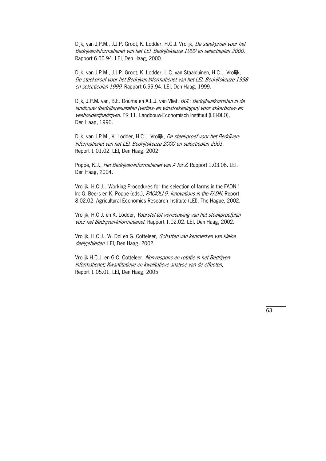Dijk, van J.P.M., J.J.P. Groot, K. Lodder, H.C.J. Vrolijk, De steekproef voor het Bedrijven-Informatienet van het LEI. Bedrijfskeuze 1999 en selectieplan 2000. Rapport 6.00.94. LEI, Den Haag, 2000.

Dijk, van J.P.M., J.J.P. Groot, K. Lodder, L.C. van Staalduinen, H.C.J. Vrolijk, De steekproef voor het Bedrijven\*Informatienet van het LEI. Bedrijfskeuze 1998 en selectieplan 1999. Rapport 6.99.94. LEI, Den Haag, 1999.

Dijk, J.P.M. van, B.E. Douma en A.L.J. van Vliet, BUL: Bedrijfsuitkomsten in de landbouw (bedrijfsresultaten (verlies- en winstrekeningen) voor akkerbouw- en veehouderijbedrijven. PR 11. Landbouw-Economisch Instituut (LEI-DLO), Den Haag, 1996.

Dijk, van J.P.M., K. Lodder, H.C.J. Vrolijk, De steekproef voor het Bedrijven-Informatienet van het LEI. Bedrijfskeuze 2000 en selectieplan 2001. Report 1.01.02. LEI, Den Haag, 2002.

Poppe, K.J., *Het Bedrijven-Informatienet van A tot Z*. Rapport 1.03.06. LEI, Den Haag, 2004.

Vrolijk, H.C.J., 'Working Procedures for the selection of farms in the FADN.' In: G. Beers en K. Poppe (eds.), PACIOLI 9. Innovations in the FADN. Report 8.02.02. Agricultural Economics Research Institute (LEI), The Hague, 2002.

Vrolijk, H.C.J. en K. Lodder, Voorstel tot vernieuwing van het steekproefplan voor het Bedrijven-Informatienet. Rapport 1.02.02. LEI, Den Haag, 2002.

Vrolijk, H.C.J., W. Dol en G. Cotteleer, Schatten van kenmerken van kleine deelgebieden. LEI, Den Haag, 2002.

Vrolijk H.C.J. en G.C. Cotteleer, Non-respons en rotatie in het Bedrijven-Informatienet; Kwantitatieve en kwalitatieve analyse van de effecten, Report 1.05.01. LEI, Den Haag, 2005.